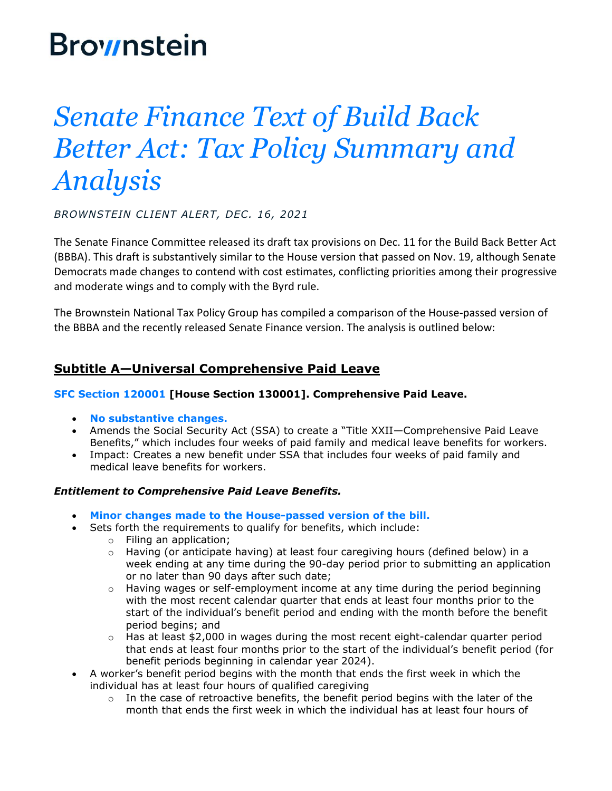# **Brownstein**

# *Senate Finance Text of Build Back Better Act: Tax Policy Summary and Analysis*

*BROWNSTEIN CLIENT ALERT, DEC. 16, 2021*

The Senate Finance Committee released its draft tax provisions on Dec. 11 for the Build Back Better Act (BBBA). This draft is substantively similar to the House version that passed on Nov. 19, although Senate Democrats made changes to contend with cost estimates, conflicting priorities among their progressive and moderate wings and to comply with the Byrd rule.

The Brownstein National Tax Policy Group has compiled a comparison of the House-passed version of the BBBA and the recently released Senate Finance version. The analysis is outlined below:

# **Subtitle A—Universal Comprehensive Paid Leave**

## **SFC Section 120001 [House Section 130001]. Comprehensive Paid Leave.**

- **No substantive changes.**
- Amends the Social Security Act (SSA) to create a "Title XXII—Comprehensive Paid Leave Benefits," which includes four weeks of paid family and medical leave benefits for workers.
- Impact: Creates a new benefit under SSA that includes four weeks of paid family and medical leave benefits for workers.

## *Entitlement to Comprehensive Paid Leave Benefits.*

- **Minor changes made to the House-passed version of the bill.**
- Sets forth the requirements to qualify for benefits, which include:
	- o Filing an application;
	- $\circ$  Having (or anticipate having) at least four caregiving hours (defined below) in a week ending at any time during the 90-day period prior to submitting an application or no later than 90 days after such date;
	- $\circ$  Having wages or self-employment income at any time during the period beginning with the most recent calendar quarter that ends at least four months prior to the start of the individual's benefit period and ending with the month before the benefit period begins; and
	- o Has at least \$2,000 in wages during the most recent eight-calendar quarter period that ends at least four months prior to the start of the individual's benefit period (for benefit periods beginning in calendar year 2024).
- A worker's benefit period begins with the month that ends the first week in which the individual has at least four hours of qualified caregiving
	- $\circ$  In the case of retroactive benefits, the benefit period begins with the later of the month that ends the first week in which the individual has at least four hours of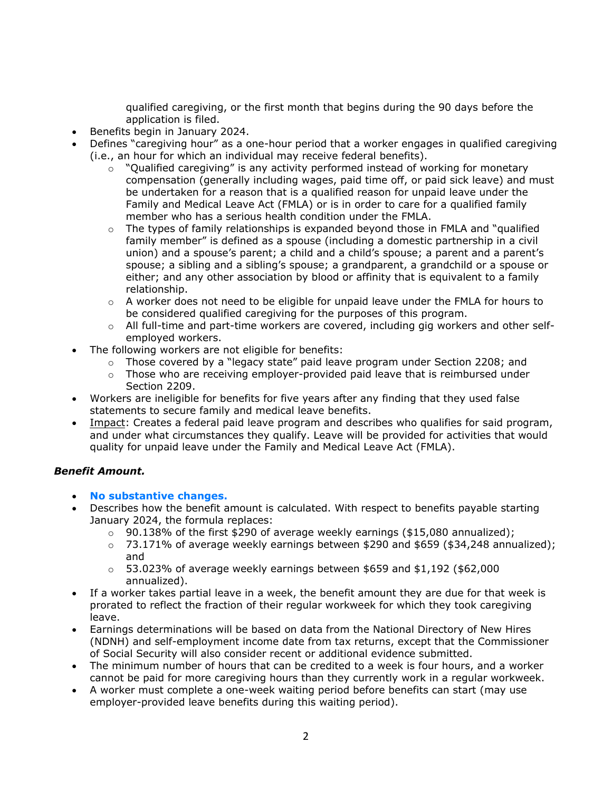qualified caregiving, or the first month that begins during the 90 days before the application is filed.

- Benefits begin in January 2024.
- Defines "caregiving hour" as a one-hour period that a worker engages in qualified caregiving (i.e., an hour for which an individual may receive federal benefits).
	- $\circ$  "Qualified caregiving" is any activity performed instead of working for monetary compensation (generally including wages, paid time off, or paid sick leave) and must be undertaken for a reason that is a qualified reason for unpaid leave under the Family and Medical Leave Act (FMLA) or is in order to care for a qualified family member who has a serious health condition under the FMLA.
	- $\circ$  The types of family relationships is expanded beyond those in FMLA and "qualified family member" is defined as a spouse (including a domestic partnership in a civil union) and a spouse's parent; a child and a child's spouse; a parent and a parent's spouse; a sibling and a sibling's spouse; a grandparent, a grandchild or a spouse or either; and any other association by blood or affinity that is equivalent to a family relationship.
	- $\circ$  A worker does not need to be eligible for unpaid leave under the FMLA for hours to be considered qualified caregiving for the purposes of this program.
	- $\circ$  All full-time and part-time workers are covered, including gig workers and other selfemployed workers.
- The following workers are not eligible for benefits:
	- o Those covered by a "legacy state" paid leave program under Section 2208; and
	- $\circ$  Those who are receiving employer-provided paid leave that is reimbursed under Section 2209.
- Workers are ineligible for benefits for five years after any finding that they used false statements to secure family and medical leave benefits.
- Impact: Creates a federal paid leave program and describes who qualifies for said program, and under what circumstances they qualify. Leave will be provided for activities that would quality for unpaid leave under the Family and Medical Leave Act (FMLA).

## *Benefit Amount.*

- **No substantive changes.**
- Describes how the benefit amount is calculated. With respect to benefits payable starting January 2024, the formula replaces:
	- $\circ$  90.138% of the first \$290 of average weekly earnings (\$15,080 annualized);
	- $\circ$  73.171% of average weekly earnings between \$290 and \$659 (\$34,248 annualized); and
	- $\circ$  53.023% of average weekly earnings between \$659 and \$1,192 (\$62,000 annualized).
- If a worker takes partial leave in a week, the benefit amount they are due for that week is prorated to reflect the fraction of their regular workweek for which they took caregiving leave.
- Earnings determinations will be based on data from the National Directory of New Hires (NDNH) and self-employment income date from tax returns, except that the Commissioner of Social Security will also consider recent or additional evidence submitted.
- The minimum number of hours that can be credited to a week is four hours, and a worker cannot be paid for more caregiving hours than they currently work in a regular workweek.
- A worker must complete a one-week waiting period before benefits can start (may use employer-provided leave benefits during this waiting period).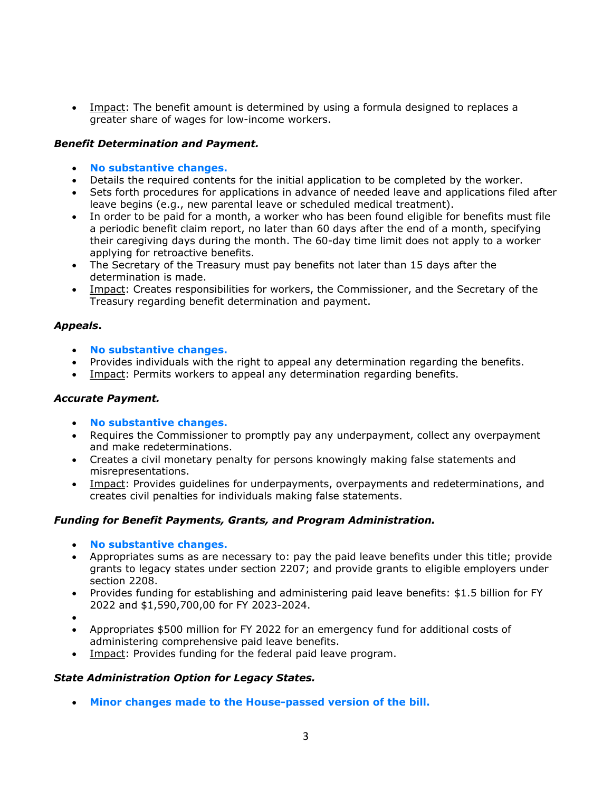• Impact: The benefit amount is determined by using a formula designed to replaces a greater share of wages for low-income workers.

#### *Benefit Determination and Payment.*

- **No substantive changes.**
- Details the required contents for the initial application to be completed by the worker.
- Sets forth procedures for applications in advance of needed leave and applications filed after leave begins (e.g., new parental leave or scheduled medical treatment).
- In order to be paid for a month, a worker who has been found eligible for benefits must file a periodic benefit claim report, no later than 60 days after the end of a month, specifying their caregiving days during the month. The 60-day time limit does not apply to a worker applying for retroactive benefits.
- The Secretary of the Treasury must pay benefits not later than 15 days after the determination is made.
- Impact: Creates responsibilities for workers, the Commissioner, and the Secretary of the Treasury regarding benefit determination and payment.

#### *Appeals***.**

- **No substantive changes.**
- Provides individuals with the right to appeal any determination regarding the benefits.
- Impact: Permits workers to appeal any determination regarding benefits.

## *Accurate Payment.*

- **No substantive changes.**
- Requires the Commissioner to promptly pay any underpayment, collect any overpayment and make redeterminations.
- Creates a civil monetary penalty for persons knowingly making false statements and misrepresentations.
- Impact: Provides guidelines for underpayments, overpayments and redeterminations, and creates civil penalties for individuals making false statements.

## *Funding for Benefit Payments, Grants, and Program Administration.*

- **No substantive changes.**
- Appropriates sums as are necessary to: pay the paid leave benefits under this title; provide grants to legacy states under section 2207; and provide grants to eligible employers under section 2208.
- Provides funding for establishing and administering paid leave benefits: \$1.5 billion for FY 2022 and \$1,590,700,00 for FY 2023-2024.
- •
- Appropriates \$500 million for FY 2022 for an emergency fund for additional costs of administering comprehensive paid leave benefits.
- Impact: Provides funding for the federal paid leave program.

#### *State Administration Option for Legacy States.*

• **Minor changes made to the House-passed version of the bill.**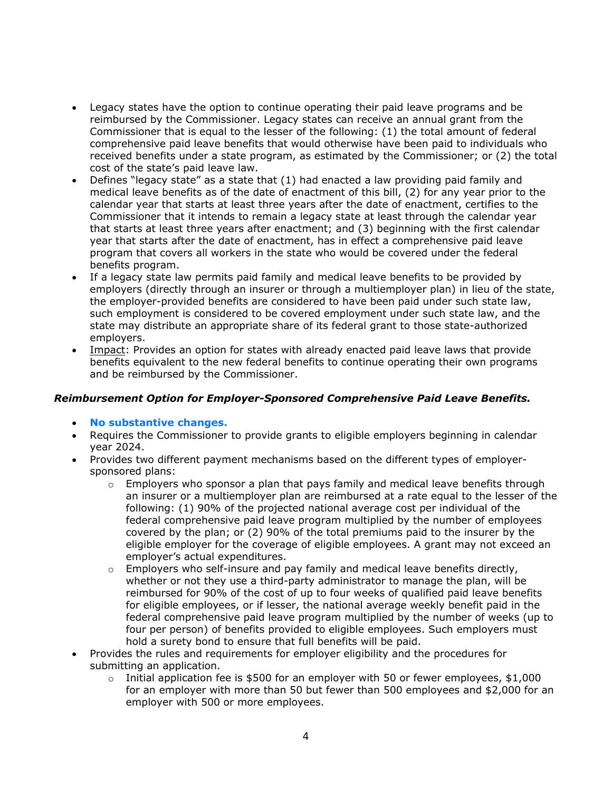- Legacy states have the option to continue operating their paid leave programs and be reimbursed by the Commissioner. Legacy states can receive an annual grant from the Commissioner that is equal to the lesser of the following: (1) the total amount of federal comprehensive paid leave benefits that would otherwise have been paid to individuals who received benefits under a state program, as estimated by the Commissioner; or (2) the total cost of the state's paid leave law.
- Defines "legacy state" as a state that (1) had enacted a law providing paid family and medical leave benefits as of the date of enactment of this bill, (2) for any year prior to the calendar year that starts at least three years after the date of enactment, certifies to the Commissioner that it intends to remain a legacy state at least through the calendar year that starts at least three years after enactment; and (3) beginning with the first calendar year that starts after the date of enactment, has in effect a comprehensive paid leave program that covers all workers in the state who would be covered under the federal benefits program.
- If a legacy state law permits paid family and medical leave benefits to be provided by employers (directly through an insurer or through a multiemployer plan) in lieu of the state, the employer-provided benefits are considered to have been paid under such state law, such employment is considered to be covered employment under such state law, and the state may distribute an appropriate share of its federal grant to those state-authorized employers.
- Impact: Provides an option for states with already enacted paid leave laws that provide benefits equivalent to the new federal benefits to continue operating their own programs and be reimbursed by the Commissioner.

## *Reimbursement Option for Employer-Sponsored Comprehensive Paid Leave Benefits.*

- **No substantive changes.**
- Requires the Commissioner to provide grants to eligible employers beginning in calendar year 2024.
- Provides two different payment mechanisms based on the different types of employersponsored plans:
	- $\circ$  Employers who sponsor a plan that pays family and medical leave benefits through an insurer or a multiemployer plan are reimbursed at a rate equal to the lesser of the following: (1) 90% of the projected national average cost per individual of the federal comprehensive paid leave program multiplied by the number of employees covered by the plan; or (2) 90% of the total premiums paid to the insurer by the eligible employer for the coverage of eligible employees. A grant may not exceed an employer's actual expenditures.
	- $\circ$  Employers who self-insure and pay family and medical leave benefits directly, whether or not they use a third-party administrator to manage the plan, will be reimbursed for 90% of the cost of up to four weeks of qualified paid leave benefits for eligible employees, or if lesser, the national average weekly benefit paid in the federal comprehensive paid leave program multiplied by the number of weeks (up to four per person) of benefits provided to eligible employees. Such employers must hold a surety bond to ensure that full benefits will be paid.
- Provides the rules and requirements for employer eligibility and the procedures for submitting an application.
	- $\circ$  Initial application fee is \$500 for an employer with 50 or fewer employees, \$1,000 for an employer with more than 50 but fewer than 500 employees and \$2,000 for an employer with 500 or more employees.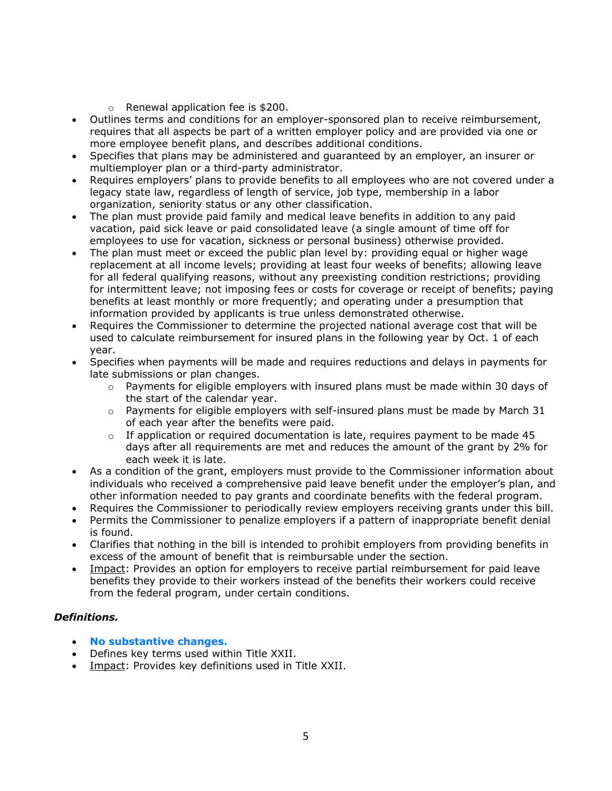- o Renewal application fee is \$200.
- Outlines terms and conditions for an employer-sponsored plan to receive reimbursement, requires that all aspects be part of a written employer policy and are provided via one or more employee benefit plans, and describes additional conditions.
- Specifies that plans may be administered and guaranteed by an employer, an insurer or multiemployer plan or a third-party administrator.
- Requires employers' plans to provide benefits to all employees who are not covered under a legacy state law, regardless of length of service, job type, membership in a labor organization, seniority status or any other classification.
- The plan must provide paid family and medical leave benefits in addition to any paid vacation, paid sick leave or paid consolidated leave (a single amount of time off for employees to use for vacation, sickness or personal business) otherwise provided.
- The plan must meet or exceed the public plan level by: providing equal or higher wage replacement at all income levels; providing at least four weeks of benefits; allowing leave for all federal qualifying reasons, without any preexisting condition restrictions; providing for intermittent leave; not imposing fees or costs for coverage or receipt of benefits; paying benefits at least monthly or more frequently; and operating under a presumption that information provided by applicants is true unless demonstrated otherwise.
- Requires the Commissioner to determine the projected national average cost that will be used to calculate reimbursement for insured plans in the following year by Oct. 1 of each year.
- Specifies when payments will be made and requires reductions and delays in payments for late submissions or plan changes.
	- $\circ$  Payments for eligible employers with insured plans must be made within 30 days of the start of the calendar year.
	- $\circ$  Payments for eligible employers with self-insured plans must be made by March 31 of each year after the benefits were paid.
	- $\circ$  If application or required documentation is late, requires payment to be made 45 days after all requirements are met and reduces the amount of the grant by 2% for each week it is late.
- As a condition of the grant, employers must provide to the Commissioner information about individuals who received a comprehensive paid leave benefit under the employer's plan, and other information needed to pay grants and coordinate benefits with the federal program.
- Requires the Commissioner to periodically review employers receiving grants under this bill.
- Permits the Commissioner to penalize employers if a pattern of inappropriate benefit denial is found.
- Clarifies that nothing in the bill is intended to prohibit employers from providing benefits in excess of the amount of benefit that is reimbursable under the section.
- Impact: Provides an option for employers to receive partial reimbursement for paid leave benefits they provide to their workers instead of the benefits their workers could receive from the federal program, under certain conditions.

## *Definitions.*

- **No substantive changes.**
- Defines key terms used within Title XXII.
- Impact: Provides key definitions used in Title XXII.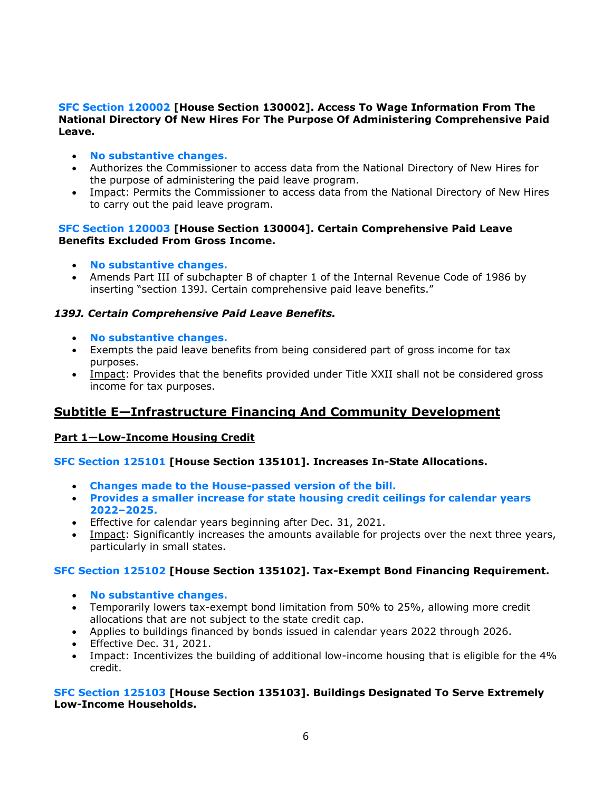#### **SFC Section 120002 [House Section 130002]. Access To Wage Information From The National Directory Of New Hires For The Purpose Of Administering Comprehensive Paid Leave.**

- **No substantive changes.**
- Authorizes the Commissioner to access data from the National Directory of New Hires for the purpose of administering the paid leave program.
- Impact: Permits the Commissioner to access data from the National Directory of New Hires to carry out the paid leave program.

#### **SFC Section 120003 [House Section 130004]. Certain Comprehensive Paid Leave Benefits Excluded From Gross Income.**

- **No substantive changes.**
- Amends Part III of subchapter B of chapter 1 of the Internal Revenue Code of 1986 by inserting "section 139J. Certain comprehensive paid leave benefits."

#### *139J. Certain Comprehensive Paid Leave Benefits.*

- **No substantive changes.**
- Exempts the paid leave benefits from being considered part of gross income for tax purposes.
- Impact: Provides that the benefits provided under Title XXII shall not be considered gross income for tax purposes.

## **Subtitle E—Infrastructure Financing And Community Development**

#### **Part 1—Low-Income Housing Credit**

#### **SFC Section 125101 [House Section 135101]. Increases In-State Allocations.**

- **Changes made to the House-passed version of the bill.**
- **Provides a smaller increase for state housing credit ceilings for calendar years 2022‒2025.**
- Effective for calendar years beginning after Dec. 31, 2021.
- Impact: Significantly increases the amounts available for projects over the next three years, particularly in small states.

#### **SFC Section 125102 [House Section 135102]. Tax-Exempt Bond Financing Requirement.**

- **No substantive changes.**
- Temporarily lowers tax-exempt bond limitation from 50% to 25%, allowing more credit allocations that are not subject to the state credit cap.
- Applies to buildings financed by bonds issued in calendar years 2022 through 2026.
- Effective Dec. 31, 2021.
- Impact: Incentivizes the building of additional low-income housing that is eligible for the 4% credit.

#### **SFC Section 125103 [House Section 135103]. Buildings Designated To Serve Extremely Low-Income Households.**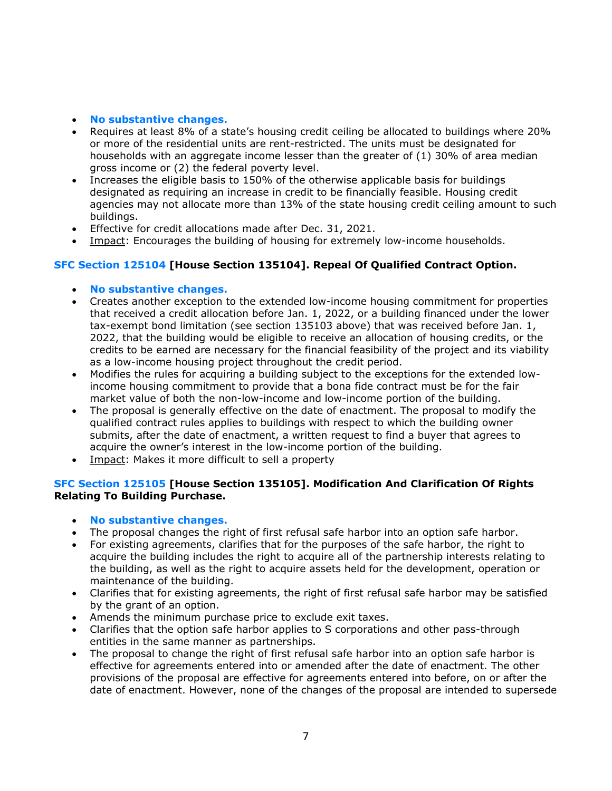- **No substantive changes.**
- Requires at least 8% of a state's housing credit ceiling be allocated to buildings where 20% or more of the residential units are rent-restricted. The units must be designated for households with an aggregate income lesser than the greater of (1) 30% of area median gross income or (2) the federal poverty level.
- Increases the eligible basis to 150% of the otherwise applicable basis for buildings designated as requiring an increase in credit to be financially feasible. Housing credit agencies may not allocate more than 13% of the state housing credit ceiling amount to such buildings.
- Effective for credit allocations made after Dec. 31, 2021.
- Impact: Encourages the building of housing for extremely low-income households.

## **SFC Section 125104 [House Section 135104]. Repeal Of Qualified Contract Option.**

- **No substantive changes.**
- Creates another exception to the extended low-income housing commitment for properties that received a credit allocation before Jan. 1, 2022, or a building financed under the lower tax-exempt bond limitation (see section 135103 above) that was received before Jan. 1, 2022, that the building would be eligible to receive an allocation of housing credits, or the credits to be earned are necessary for the financial feasibility of the project and its viability as a low-income housing project throughout the credit period.
- Modifies the rules for acquiring a building subject to the exceptions for the extended lowincome housing commitment to provide that a bona fide contract must be for the fair market value of both the non-low-income and low-income portion of the building.
- The proposal is generally effective on the date of enactment. The proposal to modify the qualified contract rules applies to buildings with respect to which the building owner submits, after the date of enactment, a written request to find a buyer that agrees to acquire the owner's interest in the low-income portion of the building.
- Impact: Makes it more difficult to sell a property

## **SFC Section 125105 [House Section 135105]. Modification And Clarification Of Rights Relating To Building Purchase.**

- **No substantive changes.**
- The proposal changes the right of first refusal safe harbor into an option safe harbor.
- For existing agreements, clarifies that for the purposes of the safe harbor, the right to acquire the building includes the right to acquire all of the partnership interests relating to the building, as well as the right to acquire assets held for the development, operation or maintenance of the building.
- Clarifies that for existing agreements, the right of first refusal safe harbor may be satisfied by the grant of an option.
- Amends the minimum purchase price to exclude exit taxes.
- Clarifies that the option safe harbor applies to S corporations and other pass-through entities in the same manner as partnerships.
- The proposal to change the right of first refusal safe harbor into an option safe harbor is effective for agreements entered into or amended after the date of enactment. The other provisions of the proposal are effective for agreements entered into before, on or after the date of enactment. However, none of the changes of the proposal are intended to supersede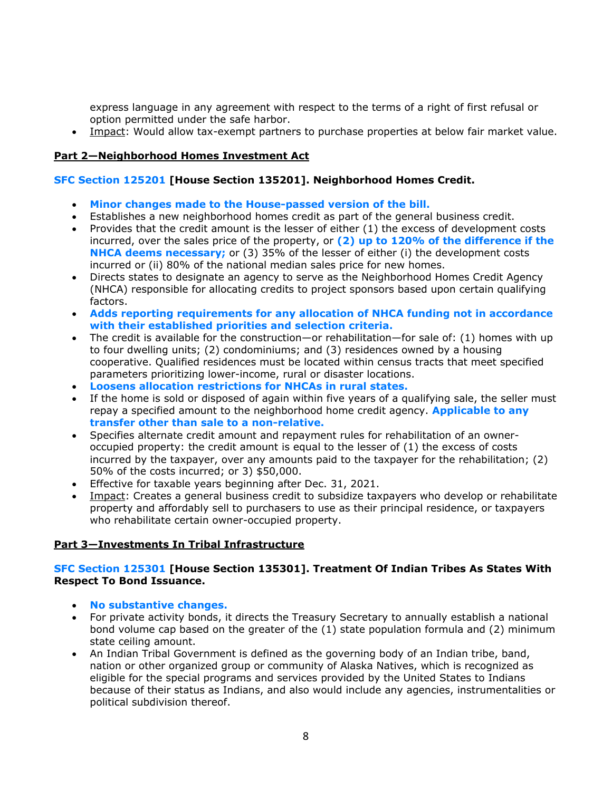express language in any agreement with respect to the terms of a right of first refusal or option permitted under the safe harbor.

• Impact: Would allow tax-exempt partners to purchase properties at below fair market value.

## **Part 2—Neighborhood Homes Investment Act**

## **SFC Section 125201 [House Section 135201]. Neighborhood Homes Credit.**

- **Minor changes made to the House-passed version of the bill.**
- Establishes a new neighborhood homes credit as part of the general business credit.
- Provides that the credit amount is the lesser of either (1) the excess of development costs incurred, over the sales price of the property, or **(2) up to 120% of the difference if the NHCA deems necessary;** or (3) 35% of the lesser of either (i) the development costs incurred or (ii) 80% of the national median sales price for new homes.
- Directs states to designate an agency to serve as the Neighborhood Homes Credit Agency (NHCA) responsible for allocating credits to project sponsors based upon certain qualifying factors.
- **Adds reporting requirements for any allocation of NHCA funding not in accordance with their established priorities and selection criteria.**
- The credit is available for the construction—or rehabilitation—for sale of: (1) homes with up to four dwelling units; (2) condominiums; and (3) residences owned by a housing cooperative. Qualified residences must be located within census tracts that meet specified parameters prioritizing lower-income, rural or disaster locations.
- **Loosens allocation restrictions for NHCAs in rural states.**
- If the home is sold or disposed of again within five years of a qualifying sale, the seller must repay a specified amount to the neighborhood home credit agency. **Applicable to any transfer other than sale to a non-relative.**
- Specifies alternate credit amount and repayment rules for rehabilitation of an owneroccupied property: the credit amount is equal to the lesser of (1) the excess of costs incurred by the taxpayer, over any amounts paid to the taxpayer for the rehabilitation; (2) 50% of the costs incurred; or 3) \$50,000.
- Effective for taxable years beginning after Dec. 31, 2021.
- Impact: Creates a general business credit to subsidize taxpayers who develop or rehabilitate property and affordably sell to purchasers to use as their principal residence, or taxpayers who rehabilitate certain owner-occupied property.

## **Part 3—Investments In Tribal Infrastructure**

## **SFC Section 125301 [House Section 135301]. Treatment Of Indian Tribes As States With Respect To Bond Issuance.**

- **No substantive changes.**
- For private activity bonds, it directs the Treasury Secretary to annually establish a national bond volume cap based on the greater of the (1) state population formula and (2) minimum state ceiling amount.
- An Indian Tribal Government is defined as the governing body of an Indian tribe, band, nation or other organized group or community of Alaska Natives, which is recognized as eligible for the special programs and services provided by the United States to Indians because of their status as Indians, and also would include any agencies, instrumentalities or political subdivision thereof.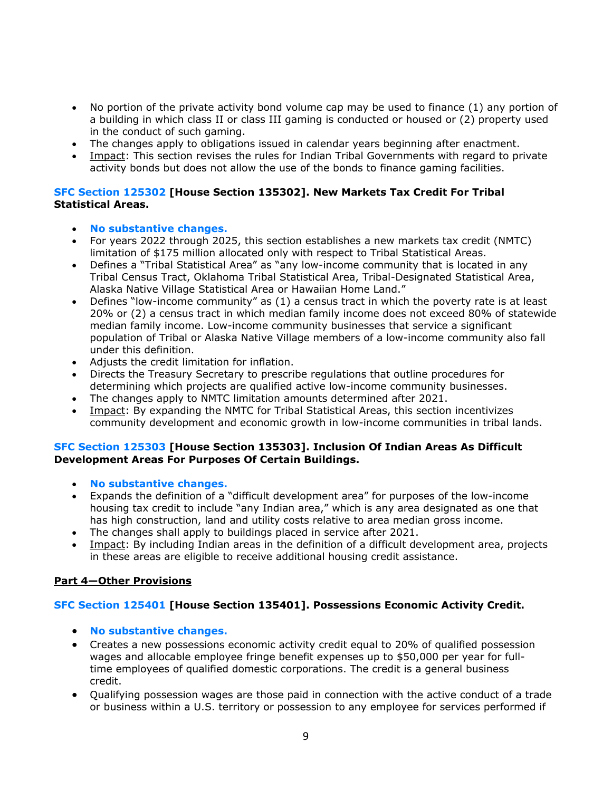- No portion of the private activity bond volume cap may be used to finance (1) any portion of a building in which class II or class III gaming is conducted or housed or (2) property used in the conduct of such gaming.
- The changes apply to obligations issued in calendar years beginning after enactment.
- Impact: This section revises the rules for Indian Tribal Governments with regard to private activity bonds but does not allow the use of the bonds to finance gaming facilities.

#### **SFC Section 125302 [House Section 135302]. New Markets Tax Credit For Tribal Statistical Areas.**

- **No substantive changes.**
- For years 2022 through 2025, this section establishes a new markets tax credit (NMTC) limitation of \$175 million allocated only with respect to Tribal Statistical Areas.
- Defines a "Tribal Statistical Area" as "any low-income community that is located in any Tribal Census Tract, Oklahoma Tribal Statistical Area, Tribal-Designated Statistical Area, Alaska Native Village Statistical Area or Hawaiian Home Land."
- Defines "low-income community" as (1) a census tract in which the poverty rate is at least 20% or (2) a census tract in which median family income does not exceed 80% of statewide median family income. Low-income community businesses that service a significant population of Tribal or Alaska Native Village members of a low-income community also fall under this definition.
- Adjusts the credit limitation for inflation.
- Directs the Treasury Secretary to prescribe regulations that outline procedures for determining which projects are qualified active low-income community businesses.
- The changes apply to NMTC limitation amounts determined after 2021.
- Impact: By expanding the NMTC for Tribal Statistical Areas, this section incentivizes community development and economic growth in low-income communities in tribal lands.

#### **SFC Section 125303 [House Section 135303]. Inclusion Of Indian Areas As Difficult Development Areas For Purposes Of Certain Buildings.**

- **No substantive changes.**
- Expands the definition of a "difficult development area" for purposes of the low-income housing tax credit to include "any Indian area," which is any area designated as one that has high construction, land and utility costs relative to area median gross income.
- The changes shall apply to buildings placed in service after 2021.
- Impact: By including Indian areas in the definition of a difficult development area, projects in these areas are eligible to receive additional housing credit assistance.

## **Part 4—Other Provisions**

## **SFC Section 125401 [House Section 135401]. Possessions Economic Activity Credit.**

- **No substantive changes.**
- Creates a new possessions economic activity credit equal to 20% of qualified possession wages and allocable employee fringe benefit expenses up to \$50,000 per year for fulltime employees of qualified domestic corporations. The credit is a general business credit.
- Qualifying possession wages are those paid in connection with the active conduct of a trade or business within a U.S. territory or possession to any employee for services performed if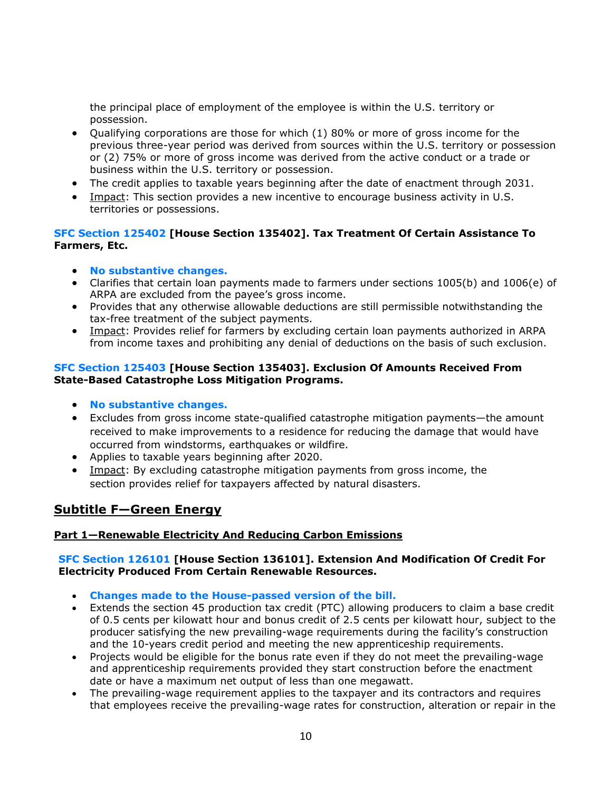the principal place of employment of the employee is within the U.S. territory or possession.

- Qualifying corporations are those for which (1) 80% or more of gross income for the previous three-year period was derived from sources within the U.S. territory or possession or (2) 75% or more of gross income was derived from the active conduct or a trade or business within the U.S. territory or possession.
- The credit applies to taxable years beginning after the date of enactment through 2031.
- Impact: This section provides a new incentive to encourage business activity in U.S. territories or possessions.

## **SFC Section 125402 [House Section 135402]. Tax Treatment Of Certain Assistance To Farmers, Etc.**

- **No substantive changes.**
- Clarifies that certain loan payments made to farmers under sections 1005(b) and 1006(e) of ARPA are excluded from the payee's gross income.
- Provides that any otherwise allowable deductions are still permissible notwithstanding the tax-free treatment of the subject payments.
- Impact: Provides relief for farmers by excluding certain loan payments authorized in ARPA from income taxes and prohibiting any denial of deductions on the basis of such exclusion.

#### **SFC Section 125403 [House Section 135403]. Exclusion Of Amounts Received From State-Based Catastrophe Loss Mitigation Programs.**

- **No substantive changes.**
- Excludes from gross income state-qualified catastrophe mitigation payments—the amount received to make improvements to a residence for reducing the damage that would have occurred from windstorms, earthquakes or wildfire.
- Applies to taxable years beginning after 2020.
- Impact: By excluding catastrophe mitigation payments from gross income, the section provides relief for taxpayers affected by natural disasters.

# **Subtitle F—Green Energy**

## **Part 1—Renewable Electricity And Reducing Carbon Emissions**

#### **SFC Section 126101 [House Section 136101]. Extension And Modification Of Credit For Electricity Produced From Certain Renewable Resources.**

- **Changes made to the House-passed version of the bill.**
- Extends the section 45 production tax credit (PTC) allowing producers to claim a base credit of 0.5 cents per kilowatt hour and bonus credit of 2.5 cents per kilowatt hour, subject to the producer satisfying the new prevailing-wage requirements during the facility's construction and the 10-years credit period and meeting the new apprenticeship requirements.
- Projects would be eligible for the bonus rate even if they do not meet the prevailing-wage and apprenticeship requirements provided they start construction before the enactment date or have a maximum net output of less than one megawatt.
- The prevailing-wage requirement applies to the taxpayer and its contractors and requires that employees receive the prevailing-wage rates for construction, alteration or repair in the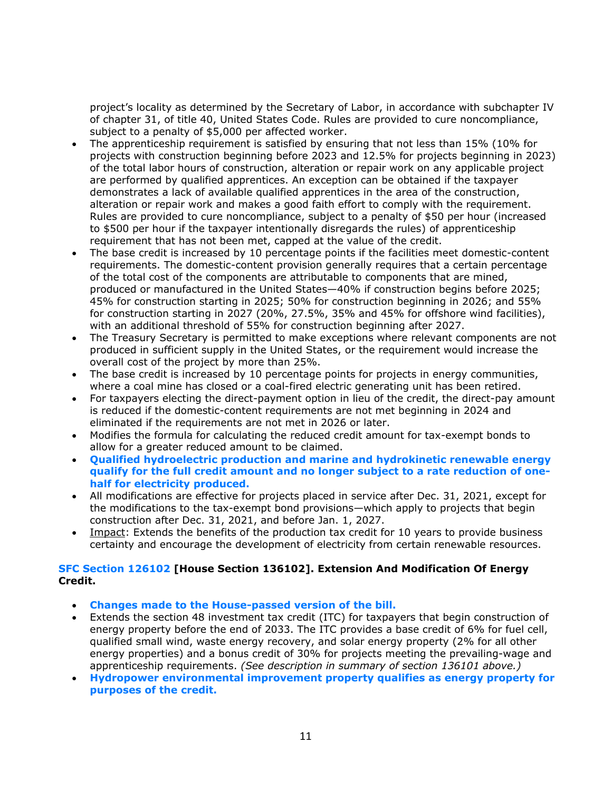project's locality as determined by the Secretary of Labor, in accordance with subchapter IV of chapter 31, of title 40, United States Code. Rules are provided to cure noncompliance, subject to a penalty of \$5,000 per affected worker.

- The apprenticeship requirement is satisfied by ensuring that not less than 15% (10% for projects with construction beginning before 2023 and 12.5% for projects beginning in 2023) of the total labor hours of construction, alteration or repair work on any applicable project are performed by qualified apprentices. An exception can be obtained if the taxpayer demonstrates a lack of available qualified apprentices in the area of the construction, alteration or repair work and makes a good faith effort to comply with the requirement. Rules are provided to cure noncompliance, subject to a penalty of \$50 per hour (increased to \$500 per hour if the taxpayer intentionally disregards the rules) of apprenticeship requirement that has not been met, capped at the value of the credit.
- The base credit is increased by 10 percentage points if the facilities meet domestic-content requirements. The domestic-content provision generally requires that a certain percentage of the total cost of the components are attributable to components that are mined, produced or manufactured in the United States—40% if construction begins before 2025; 45% for construction starting in 2025; 50% for construction beginning in 2026; and 55% for construction starting in 2027 (20%, 27.5%, 35% and 45% for offshore wind facilities), with an additional threshold of 55% for construction beginning after 2027.
- The Treasury Secretary is permitted to make exceptions where relevant components are not produced in sufficient supply in the United States, or the requirement would increase the overall cost of the project by more than 25%.
- The base credit is increased by 10 percentage points for projects in energy communities, where a coal mine has closed or a coal-fired electric generating unit has been retired.
- For taxpayers electing the direct-payment option in lieu of the credit, the direct-pay amount is reduced if the domestic-content requirements are not met beginning in 2024 and eliminated if the requirements are not met in 2026 or later.
- Modifies the formula for calculating the reduced credit amount for tax-exempt bonds to allow for a greater reduced amount to be claimed.
- **Qualified hydroelectric production and marine and hydrokinetic renewable energy qualify for the full credit amount and no longer subject to a rate reduction of onehalf for electricity produced.**
- All modifications are effective for projects placed in service after Dec. 31, 2021, except for the modifications to the tax-exempt bond provisions—which apply to projects that begin construction after Dec. 31, 2021, and before Jan. 1, 2027.
- Impact: Extends the benefits of the production tax credit for 10 years to provide business certainty and encourage the development of electricity from certain renewable resources.

## **SFC Section 126102 [House Section 136102]. Extension And Modification Of Energy Credit.**

- **Changes made to the House-passed version of the bill.**
- Extends the section 48 investment tax credit (ITC) for taxpayers that begin construction of energy property before the end of 2033. The ITC provides a base credit of 6% for fuel cell, qualified small wind, waste energy recovery, and solar energy property (2% for all other energy properties) and a bonus credit of 30% for projects meeting the prevailing-wage and apprenticeship requirements. *(See description in summary of section 136101 above.)*
- **Hydropower environmental improvement property qualifies as energy property for purposes of the credit.**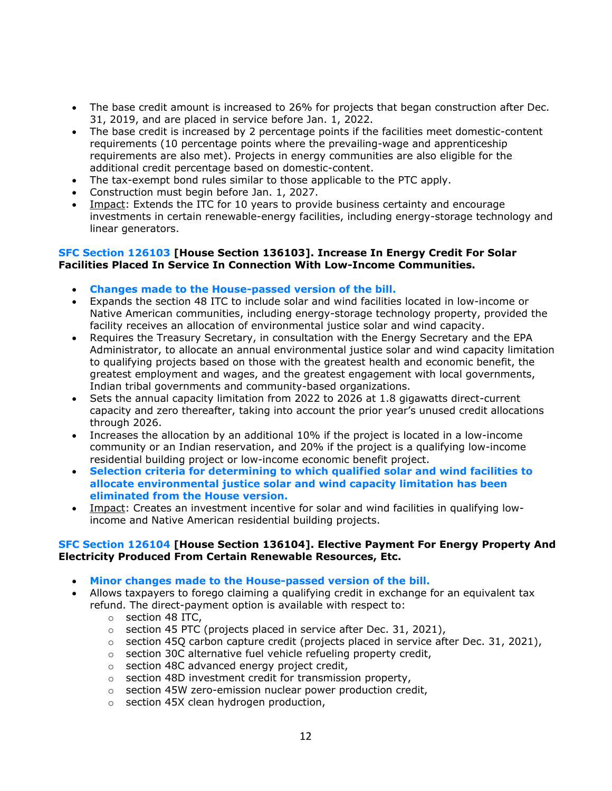- The base credit amount is increased to 26% for projects that began construction after Dec. 31, 2019, and are placed in service before Jan. 1, 2022.
- The base credit is increased by 2 percentage points if the facilities meet domestic-content requirements (10 percentage points where the prevailing-wage and apprenticeship requirements are also met). Projects in energy communities are also eligible for the additional credit percentage based on domestic-content.
- The tax-exempt bond rules similar to those applicable to the PTC apply.
- Construction must begin before Jan. 1, 2027.
- Impact: Extends the ITC for 10 years to provide business certainty and encourage investments in certain renewable-energy facilities, including energy-storage technology and linear generators.

#### **SFC Section 126103 [House Section 136103]. Increase In Energy Credit For Solar Facilities Placed In Service In Connection With Low-Income Communities.**

- **Changes made to the House-passed version of the bill.**
- Expands the section 48 ITC to include solar and wind facilities located in low-income or Native American communities, including energy-storage technology property, provided the facility receives an allocation of environmental justice solar and wind capacity.
- Requires the Treasury Secretary, in consultation with the Energy Secretary and the EPA Administrator, to allocate an annual environmental justice solar and wind capacity limitation to qualifying projects based on those with the greatest health and economic benefit, the greatest employment and wages, and the greatest engagement with local governments, Indian tribal governments and community-based organizations.
- Sets the annual capacity limitation from 2022 to 2026 at 1.8 gigawatts direct-current capacity and zero thereafter, taking into account the prior year's unused credit allocations through 2026.
- Increases the allocation by an additional 10% if the project is located in a low-income community or an Indian reservation, and 20% if the project is a qualifying low-income residential building project or low-income economic benefit project.
- **Selection criteria for determining to which qualified solar and wind facilities to allocate environmental justice solar and wind capacity limitation has been eliminated from the House version.**
- Impact: Creates an investment incentive for solar and wind facilities in qualifying lowincome and Native American residential building projects.

#### **SFC Section 126104 [House Section 136104]. Elective Payment For Energy Property And Electricity Produced From Certain Renewable Resources, Etc.**

- **Minor changes made to the House-passed version of the bill.**
- Allows taxpayers to forego claiming a qualifying credit in exchange for an equivalent tax refund. The direct-payment option is available with respect to:
	- o section 48 ITC,
	- o section 45 PTC (projects placed in service after Dec. 31, 2021),
	- $\circ$  section 45Q carbon capture credit (projects placed in service after Dec. 31, 2021),
	- o section 30C alternative fuel vehicle refueling property credit,
	- o section 48C advanced energy project credit,
	- o section 48D investment credit for transmission property,
	- o section 45W zero-emission nuclear power production credit,
	- o section 45X clean hydrogen production,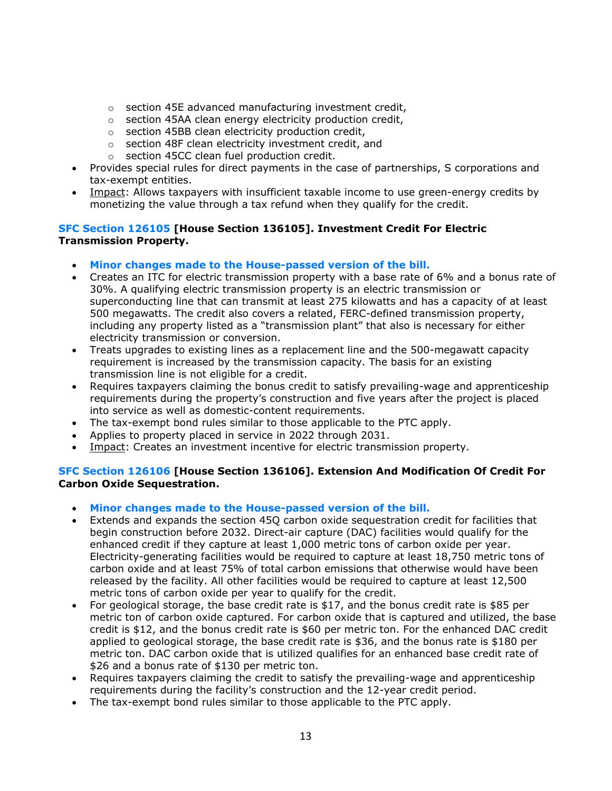- o section 45E advanced manufacturing investment credit,
- o section 45AA clean energy electricity production credit,
- o section 45BB clean electricity production credit,
- o section 48F clean electricity investment credit, and
- o section 45CC clean fuel production credit.
- Provides special rules for direct payments in the case of partnerships, S corporations and tax-exempt entities.
- Impact: Allows taxpayers with insufficient taxable income to use green-energy credits by monetizing the value through a tax refund when they qualify for the credit.

## **SFC Section 126105 [House Section 136105]. Investment Credit For Electric Transmission Property.**

- **Minor changes made to the House-passed version of the bill.**
- Creates an ITC for electric transmission property with a base rate of 6% and a bonus rate of 30%. A qualifying electric transmission property is an electric transmission or superconducting line that can transmit at least 275 kilowatts and has a capacity of at least 500 megawatts. The credit also covers a related, FERC-defined transmission property, including any property listed as a "transmission plant" that also is necessary for either electricity transmission or conversion.
- Treats upgrades to existing lines as a replacement line and the 500-megawatt capacity requirement is increased by the transmission capacity. The basis for an existing transmission line is not eligible for a credit.
- Requires taxpayers claiming the bonus credit to satisfy prevailing-wage and apprenticeship requirements during the property's construction and five years after the project is placed into service as well as domestic-content requirements.
- The tax-exempt bond rules similar to those applicable to the PTC apply.
- Applies to property placed in service in 2022 through 2031.
- Impact: Creates an investment incentive for electric transmission property.

## **SFC Section 126106 [House Section 136106]. Extension And Modification Of Credit For Carbon Oxide Sequestration.**

- **Minor changes made to the House-passed version of the bill.**
- Extends and expands the section 45Q carbon oxide sequestration credit for facilities that begin construction before 2032. Direct-air capture (DAC) facilities would qualify for the enhanced credit if they capture at least 1,000 metric tons of carbon oxide per year. Electricity-generating facilities would be required to capture at least 18,750 metric tons of carbon oxide and at least 75% of total carbon emissions that otherwise would have been released by the facility. All other facilities would be required to capture at least 12,500 metric tons of carbon oxide per year to qualify for the credit.
- For geological storage, the base credit rate is \$17, and the bonus credit rate is \$85 per metric ton of carbon oxide captured. For carbon oxide that is captured and utilized, the base credit is \$12, and the bonus credit rate is \$60 per metric ton. For the enhanced DAC credit applied to geological storage, the base credit rate is \$36, and the bonus rate is \$180 per metric ton. DAC carbon oxide that is utilized qualifies for an enhanced base credit rate of \$26 and a bonus rate of \$130 per metric ton.
- Requires taxpayers claiming the credit to satisfy the prevailing-wage and apprenticeship requirements during the facility's construction and the 12-year credit period.
- The tax-exempt bond rules similar to those applicable to the PTC apply.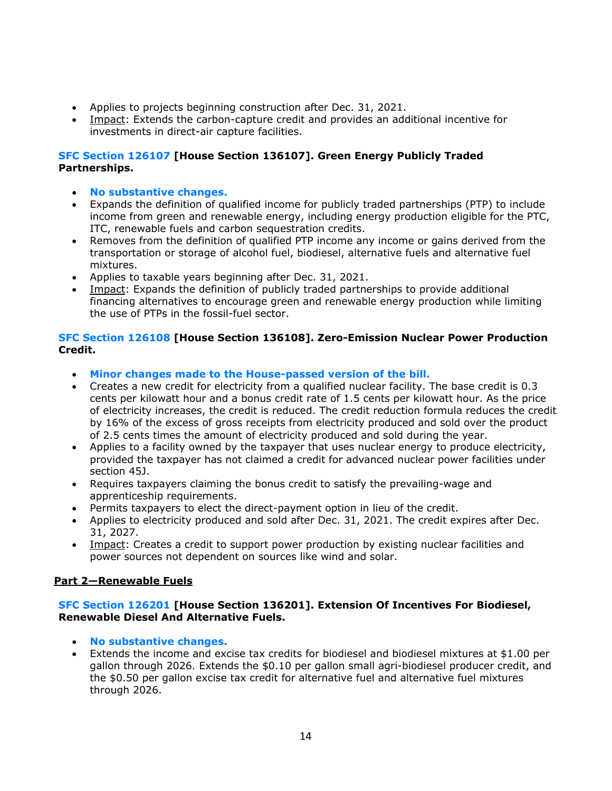- Applies to projects beginning construction after Dec. 31, 2021.
- Impact: Extends the carbon-capture credit and provides an additional incentive for investments in direct-air capture facilities.

## **SFC Section 126107 [House Section 136107]. Green Energy Publicly Traded Partnerships.**

- **No substantive changes.**
- Expands the definition of qualified income for publicly traded partnerships (PTP) to include income from green and renewable energy, including energy production eligible for the PTC, ITC, renewable fuels and carbon sequestration credits.
- Removes from the definition of qualified PTP income any income or gains derived from the transportation or storage of alcohol fuel, biodiesel, alternative fuels and alternative fuel mixtures.
- Applies to taxable years beginning after Dec. 31, 2021.
- Impact: Expands the definition of publicly traded partnerships to provide additional financing alternatives to encourage green and renewable energy production while limiting the use of PTPs in the fossil-fuel sector.

## **SFC Section 126108 [House Section 136108]. Zero-Emission Nuclear Power Production Credit.**

- **Minor changes made to the House-passed version of the bill.**
- Creates a new credit for electricity from a qualified nuclear facility. The base credit is 0.3 cents per kilowatt hour and a bonus credit rate of 1.5 cents per kilowatt hour. As the price of electricity increases, the credit is reduced. The credit reduction formula reduces the credit by 16% of the excess of gross receipts from electricity produced and sold over the product of 2.5 cents times the amount of electricity produced and sold during the year.
- Applies to a facility owned by the taxpayer that uses nuclear energy to produce electricity, provided the taxpayer has not claimed a credit for advanced nuclear power facilities under section 45J.
- Requires taxpayers claiming the bonus credit to satisfy the prevailing-wage and apprenticeship requirements.
- Permits taxpayers to elect the direct-payment option in lieu of the credit.
- Applies to electricity produced and sold after Dec. 31, 2021. The credit expires after Dec. 31, 2027.
- Impact: Creates a credit to support power production by existing nuclear facilities and power sources not dependent on sources like wind and solar.

## **Part 2—Renewable Fuels**

## **SFC Section 126201 [House Section 136201]. Extension Of Incentives For Biodiesel, Renewable Diesel And Alternative Fuels.**

- **No substantive changes.**
- Extends the income and excise tax credits for biodiesel and biodiesel mixtures at \$1.00 per gallon through 2026. Extends the \$0.10 per gallon small agri-biodiesel producer credit, and the \$0.50 per gallon excise tax credit for alternative fuel and alternative fuel mixtures through 2026.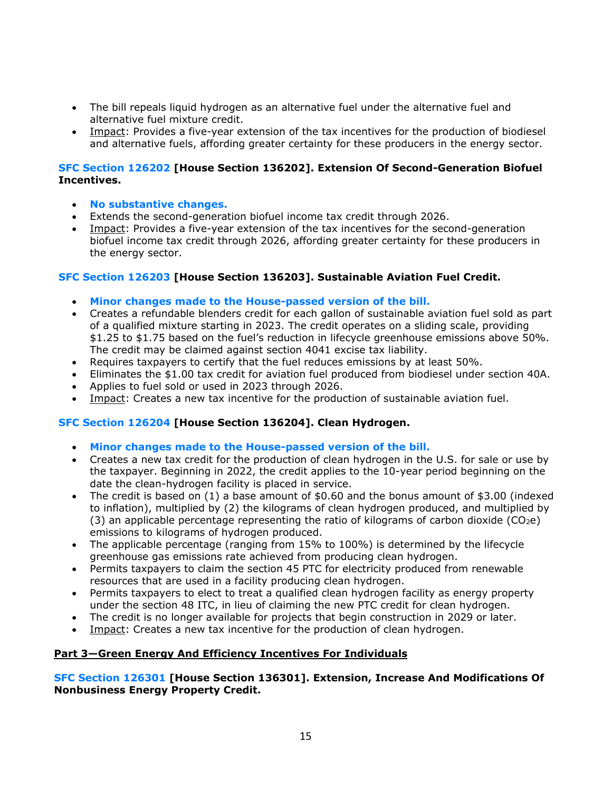- The bill repeals liquid hydrogen as an alternative fuel under the alternative fuel and alternative fuel mixture credit.
- Impact: Provides a five-year extension of the tax incentives for the production of biodiesel and alternative fuels, affording greater certainty for these producers in the energy sector.

#### **SFC Section 126202 [House Section 136202]. Extension Of Second-Generation Biofuel Incentives.**

- **No substantive changes.**
- Extends the second-generation biofuel income tax credit through 2026.
- Impact: Provides a five-year extension of the tax incentives for the second-generation biofuel income tax credit through 2026, affording greater certainty for these producers in the energy sector.

## **SFC Section 126203 [House Section 136203]. Sustainable Aviation Fuel Credit.**

- **Minor changes made to the House-passed version of the bill.**
- Creates a refundable blenders credit for each gallon of sustainable aviation fuel sold as part of a qualified mixture starting in 2023. The credit operates on a sliding scale, providing \$1.25 to \$1.75 based on the fuel's reduction in lifecycle greenhouse emissions above 50%. The credit may be claimed against section 4041 excise tax liability.
- Requires taxpayers to certify that the fuel reduces emissions by at least 50%.
- Eliminates the \$1.00 tax credit for aviation fuel produced from biodiesel under section 40A.
- Applies to fuel sold or used in 2023 through 2026.
- Impact: Creates a new tax incentive for the production of sustainable aviation fuel.

## **SFC Section 126204 [House Section 136204]. Clean Hydrogen.**

- **Minor changes made to the House-passed version of the bill.**
- Creates a new tax credit for the production of clean hydrogen in the U.S. for sale or use by the taxpayer. Beginning in 2022, the credit applies to the 10-year period beginning on the date the clean-hydrogen facility is placed in service.
- The credit is based on (1) a base amount of \$0.60 and the bonus amount of \$3.00 (indexed to inflation), multiplied by (2) the kilograms of clean hydrogen produced, and multiplied by (3) an applicable percentage representing the ratio of kilograms of carbon dioxide ( $CO<sub>2</sub>e$ ) emissions to kilograms of hydrogen produced.
- The applicable percentage (ranging from 15% to 100%) is determined by the lifecycle greenhouse gas emissions rate achieved from producing clean hydrogen.
- Permits taxpayers to claim the section 45 PTC for electricity produced from renewable resources that are used in a facility producing clean hydrogen.
- Permits taxpayers to elect to treat a qualified clean hydrogen facility as energy property under the section 48 ITC, in lieu of claiming the new PTC credit for clean hydrogen.
- The credit is no longer available for projects that begin construction in 2029 or later.
- Impact: Creates a new tax incentive for the production of clean hydrogen.

## **Part 3—Green Energy And Efficiency Incentives For Individuals**

## **SFC Section 126301 [House Section 136301]. Extension, Increase And Modifications Of Nonbusiness Energy Property Credit.**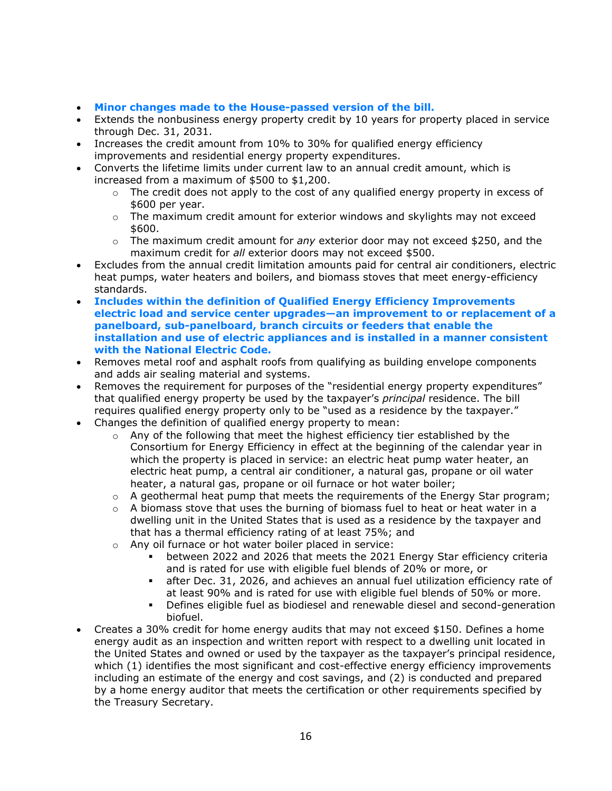- **Minor changes made to the House-passed version of the bill.**
- Extends the nonbusiness energy property credit by 10 years for property placed in service through Dec. 31, 2031.
- Increases the credit amount from 10% to 30% for qualified energy efficiency improvements and residential energy property expenditures.
- Converts the lifetime limits under current law to an annual credit amount, which is increased from a maximum of \$500 to \$1,200.
	- $\circ$  The credit does not apply to the cost of any qualified energy property in excess of \$600 per year.
	- $\circ$  The maximum credit amount for exterior windows and skylights may not exceed \$600.
	- o The maximum credit amount for *any* exterior door may not exceed \$250, and the maximum credit for *all* exterior doors may not exceed \$500.
- Excludes from the annual credit limitation amounts paid for central air conditioners, electric heat pumps, water heaters and boilers, and biomass stoves that meet energy-efficiency standards.
- **Includes within the definition of Qualified Energy Efficiency Improvements electric load and service center upgrades—an improvement to or replacement of a panelboard, sub-panelboard, branch circuits or feeders that enable the installation and use of electric appliances and is installed in a manner consistent with the National Electric Code.**
- Removes metal roof and asphalt roofs from qualifying as building envelope components and adds air sealing material and systems.
- Removes the requirement for purposes of the "residential energy property expenditures" that qualified energy property be used by the taxpayer's *principal* residence. The bill requires qualified energy property only to be "used as a residence by the taxpayer."
- Changes the definition of qualified energy property to mean:
	- $\circ$  Any of the following that meet the highest efficiency tier established by the Consortium for Energy Efficiency in effect at the beginning of the calendar year in which the property is placed in service: an electric heat pump water heater, an electric heat pump, a central air conditioner, a natural gas, propane or oil water heater, a natural gas, propane or oil furnace or hot water boiler;
	- $\circ$  A geothermal heat pump that meets the requirements of the Energy Star program;
	- $\circ$  A biomass stove that uses the burning of biomass fuel to heat or heat water in a dwelling unit in the United States that is used as a residence by the taxpayer and that has a thermal efficiency rating of at least 75%; and
	- o Any oil furnace or hot water boiler placed in service:
		- between 2022 and 2026 that meets the 2021 Energy Star efficiency criteria and is rated for use with eligible fuel blends of 20% or more, or
		- **EX** after Dec. 31, 2026, and achieves an annual fuel utilization efficiency rate of at least 90% and is rated for use with eligible fuel blends of 50% or more.
		- **•** Defines eligible fuel as biodiesel and renewable diesel and second-generation biofuel.
- Creates a 30% credit for home energy audits that may not exceed \$150. Defines a home energy audit as an inspection and written report with respect to a dwelling unit located in the United States and owned or used by the taxpayer as the taxpayer's principal residence, which (1) identifies the most significant and cost-effective energy efficiency improvements including an estimate of the energy and cost savings, and (2) is conducted and prepared by a home energy auditor that meets the certification or other requirements specified by the Treasury Secretary.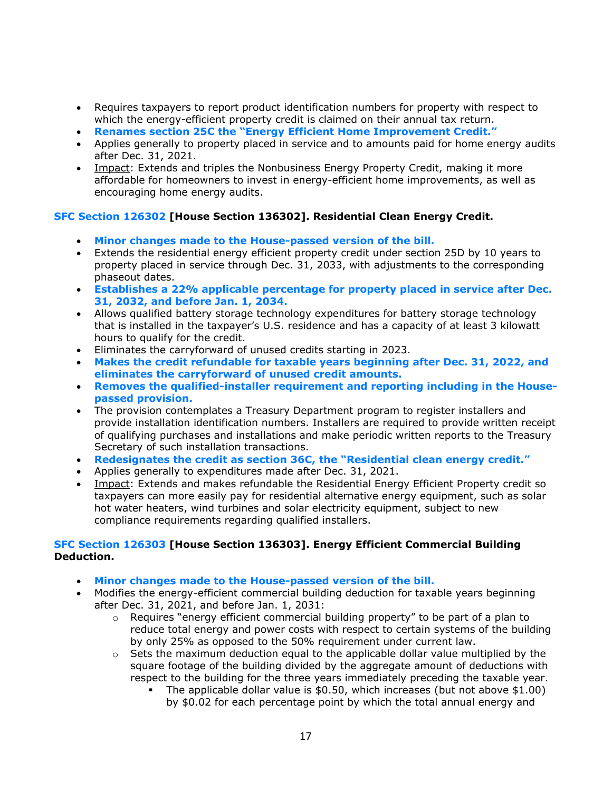- Requires taxpayers to report product identification numbers for property with respect to which the energy-efficient property credit is claimed on their annual tax return.
- **Renames section 25C the "Energy Efficient Home Improvement Credit."**
- Applies generally to property placed in service and to amounts paid for home energy audits after Dec. 31, 2021.
- Impact: Extends and triples the Nonbusiness Energy Property Credit, making it more affordable for homeowners to invest in energy-efficient home improvements, as well as encouraging home energy audits.

## **SFC Section 126302 [House Section 136302]. Residential Clean Energy Credit.**

- **Minor changes made to the House-passed version of the bill.**
- Extends the residential energy efficient property credit under section 25D by 10 years to property placed in service through Dec. 31, 2033, with adjustments to the corresponding phaseout dates.
- **Establishes a 22% applicable percentage for property placed in service after Dec. 31, 2032, and before Jan. 1, 2034.**
- Allows qualified battery storage technology expenditures for battery storage technology that is installed in the taxpayer's U.S. residence and has a capacity of at least 3 kilowatt hours to qualify for the credit.
- Eliminates the carryforward of unused credits starting in 2023.
- **Makes the credit refundable for taxable years beginning after Dec. 31, 2022, and eliminates the carryforward of unused credit amounts.**
- **Removes the qualified-installer requirement and reporting including in the Housepassed provision.**
- The provision contemplates a Treasury Department program to register installers and provide installation identification numbers. Installers are required to provide written receipt of qualifying purchases and installations and make periodic written reports to the Treasury Secretary of such installation transactions.
- **Redesignates the credit as section 36C, the "Residential clean energy credit."**
- Applies generally to expenditures made after Dec. 31, 2021.
- Impact: Extends and makes refundable the Residential Energy Efficient Property credit so taxpayers can more easily pay for residential alternative energy equipment, such as solar hot water heaters, wind turbines and solar electricity equipment, subject to new compliance requirements regarding qualified installers.

## **SFC Section 126303 [House Section 136303]. Energy Efficient Commercial Building Deduction.**

- **Minor changes made to the House-passed version of the bill.**
- Modifies the energy-efficient commercial building deduction for taxable years beginning after Dec. 31, 2021, and before Jan. 1, 2031:
	- $\circ$  Requires "energy efficient commercial building property" to be part of a plan to reduce total energy and power costs with respect to certain systems of the building by only 25% as opposed to the 50% requirement under current law.
	- $\circ$  Sets the maximum deduction equal to the applicable dollar value multiplied by the square footage of the building divided by the aggregate amount of deductions with respect to the building for the three years immediately preceding the taxable year.
		- **•** The applicable dollar value is  $$0.50$ , which increases (but not above  $$1.00$ ) by \$0.02 for each percentage point by which the total annual energy and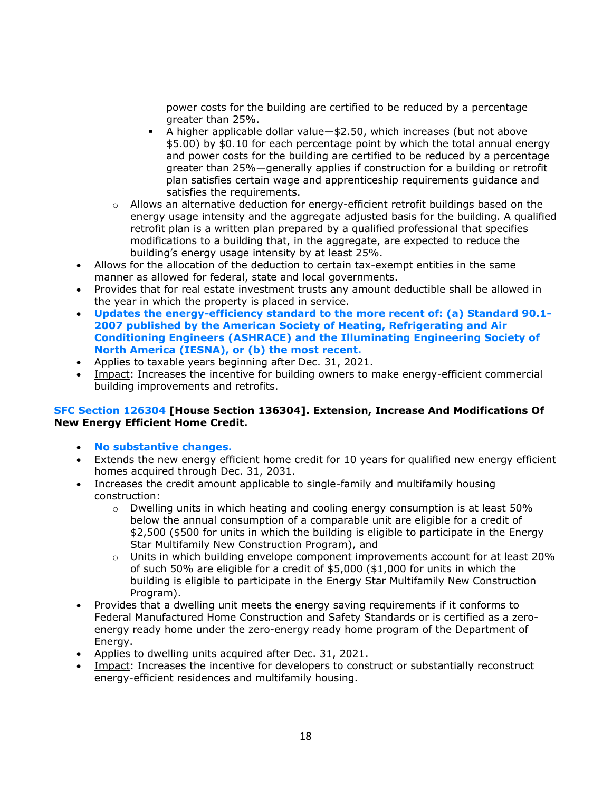power costs for the building are certified to be reduced by a percentage greater than 25%.

- A higher applicable dollar value—\$2.50, which increases (but not above \$5.00) by \$0.10 for each percentage point by which the total annual energy and power costs for the building are certified to be reduced by a percentage greater than 25%—generally applies if construction for a building or retrofit plan satisfies certain wage and apprenticeship requirements guidance and satisfies the requirements.
- o Allows an alternative deduction for energy-efficient retrofit buildings based on the energy usage intensity and the aggregate adjusted basis for the building. A qualified retrofit plan is a written plan prepared by a qualified professional that specifies modifications to a building that, in the aggregate, are expected to reduce the building's energy usage intensity by at least 25%.
- Allows for the allocation of the deduction to certain tax-exempt entities in the same manner as allowed for federal, state and local governments.
- Provides that for real estate investment trusts any amount deductible shall be allowed in the year in which the property is placed in service.
- **Updates the energy-efficiency standard to the more recent of: (a) Standard 90.1- 2007 published by the American Society of Heating, Refrigerating and Air Conditioning Engineers (ASHRACE) and the Illuminating Engineering Society of North America (IESNA), or (b) the most recent.**
- Applies to taxable years beginning after Dec. 31, 2021.
- Impact: Increases the incentive for building owners to make energy-efficient commercial building improvements and retrofits.

## **SFC Section 126304 [House Section 136304]. Extension, Increase And Modifications Of New Energy Efficient Home Credit.**

- **No substantive changes.**
- Extends the new energy efficient home credit for 10 years for qualified new energy efficient homes acquired through Dec. 31, 2031.
- Increases the credit amount applicable to single-family and multifamily housing construction:
	- $\circ$  Dwelling units in which heating and cooling energy consumption is at least 50% below the annual consumption of a comparable unit are eligible for a credit of \$2,500 (\$500 for units in which the building is eligible to participate in the Energy Star Multifamily New Construction Program), and
	- $\circ$  Units in which building envelope component improvements account for at least 20% of such 50% are eligible for a credit of \$5,000 (\$1,000 for units in which the building is eligible to participate in the Energy Star Multifamily New Construction Program).
- Provides that a dwelling unit meets the energy saving requirements if it conforms to Federal Manufactured Home Construction and Safety Standards or is certified as a zeroenergy ready home under the zero-energy ready home program of the Department of Energy.
- Applies to dwelling units acquired after Dec. 31, 2021.
- Impact: Increases the incentive for developers to construct or substantially reconstruct energy-efficient residences and multifamily housing.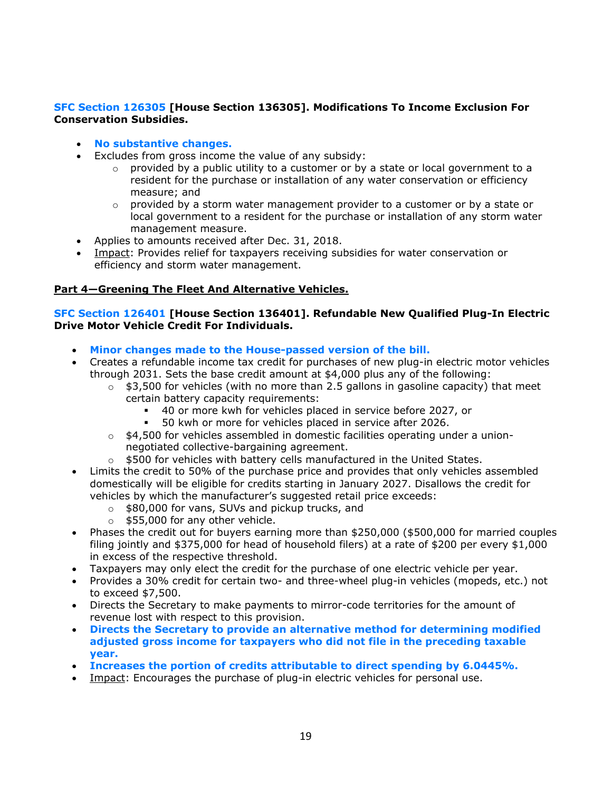## **SFC Section 126305 [House Section 136305]. Modifications To Income Exclusion For Conservation Subsidies.**

## • **No substantive changes.**

- Excludes from gross income the value of any subsidy:
	- $\circ$  provided by a public utility to a customer or by a state or local government to a resident for the purchase or installation of any water conservation or efficiency measure; and
	- $\circ$  provided by a storm water management provider to a customer or by a state or local government to a resident for the purchase or installation of any storm water management measure.
- Applies to amounts received after Dec. 31, 2018.
- Impact: Provides relief for taxpayers receiving subsidies for water conservation or efficiency and storm water management.

## **Part 4—Greening The Fleet And Alternative Vehicles.**

#### **SFC Section 126401 [House Section 136401]. Refundable New Qualified Plug-In Electric Drive Motor Vehicle Credit For Individuals.**

- **Minor changes made to the House-passed version of the bill.**
- Creates a refundable income tax credit for purchases of new plug-in electric motor vehicles through 2031. Sets the base credit amount at \$4,000 plus any of the following:
	- $\circ$  \$3,500 for vehicles (with no more than 2.5 gallons in gasoline capacity) that meet certain battery capacity requirements:
		- 40 or more kwh for vehicles placed in service before 2027, or
		- 50 kwh or more for vehicles placed in service after 2026.
	- $\circ$  \$4,500 for vehicles assembled in domestic facilities operating under a unionnegotiated collective-bargaining agreement.
	- $\circ$  \$500 for vehicles with battery cells manufactured in the United States.
- Limits the credit to 50% of the purchase price and provides that only vehicles assembled domestically will be eligible for credits starting in January 2027. Disallows the credit for vehicles by which the manufacturer's suggested retail price exceeds:
	- o \$80,000 for vans, SUVs and pickup trucks, and
	- $\circ$  \$55,000 for any other vehicle.
- Phases the credit out for buyers earning more than \$250,000 (\$500,000 for married couples filing jointly and \$375,000 for head of household filers) at a rate of \$200 per every \$1,000 in excess of the respective threshold.
- Taxpayers may only elect the credit for the purchase of one electric vehicle per year.
- Provides a 30% credit for certain two- and three-wheel plug-in vehicles (mopeds, etc.) not to exceed \$7,500.
- Directs the Secretary to make payments to mirror-code territories for the amount of revenue lost with respect to this provision.
- **Directs the Secretary to provide an alternative method for determining modified adjusted gross income for taxpayers who did not file in the preceding taxable year.**
- **Increases the portion of credits attributable to direct spending by 6.0445%.**
- Impact: Encourages the purchase of plug-in electric vehicles for personal use.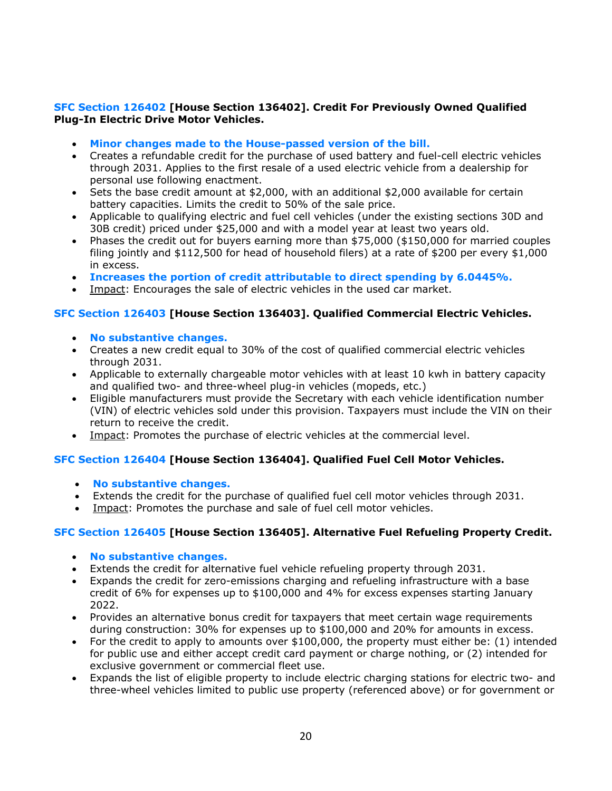## **SFC Section 126402 [House Section 136402]. Credit For Previously Owned Qualified Plug-In Electric Drive Motor Vehicles.**

- **Minor changes made to the House-passed version of the bill.**
- Creates a refundable credit for the purchase of used battery and fuel-cell electric vehicles through 2031. Applies to the first resale of a used electric vehicle from a dealership for personal use following enactment.
- Sets the base credit amount at \$2,000, with an additional \$2,000 available for certain battery capacities. Limits the credit to 50% of the sale price.
- Applicable to qualifying electric and fuel cell vehicles (under the existing sections 30D and 30B credit) priced under \$25,000 and with a model year at least two years old.
- Phases the credit out for buyers earning more than \$75,000 (\$150,000 for married couples filing jointly and \$112,500 for head of household filers) at a rate of \$200 per every \$1,000 in excess.
- **Increases the portion of credit attributable to direct spending by 6.0445%.**
- Impact: Encourages the sale of electric vehicles in the used car market.

## **SFC Section 126403 [House Section 136403]. Qualified Commercial Electric Vehicles.**

- **No substantive changes.**
- Creates a new credit equal to 30% of the cost of qualified commercial electric vehicles through 2031.
- Applicable to externally chargeable motor vehicles with at least 10 kwh in battery capacity and qualified two- and three-wheel plug-in vehicles (mopeds, etc.)
- Eligible manufacturers must provide the Secretary with each vehicle identification number (VIN) of electric vehicles sold under this provision. Taxpayers must include the VIN on their return to receive the credit.
- Impact: Promotes the purchase of electric vehicles at the commercial level.

## **SFC Section 126404 [House Section 136404]. Qualified Fuel Cell Motor Vehicles.**

- **No substantive changes.**
- Extends the credit for the purchase of qualified fuel cell motor vehicles through 2031.
- Impact: Promotes the purchase and sale of fuel cell motor vehicles.

## **SFC Section 126405 [House Section 136405]. Alternative Fuel Refueling Property Credit.**

- **No substantive changes.**
- Extends the credit for alternative fuel vehicle refueling property through 2031.
- Expands the credit for zero-emissions charging and refueling infrastructure with a base credit of 6% for expenses up to \$100,000 and 4% for excess expenses starting January 2022.
- Provides an alternative bonus credit for taxpayers that meet certain wage requirements during construction: 30% for expenses up to \$100,000 and 20% for amounts in excess.
- For the credit to apply to amounts over \$100,000, the property must either be: (1) intended for public use and either accept credit card payment or charge nothing, or (2) intended for exclusive government or commercial fleet use.
- Expands the list of eligible property to include electric charging stations for electric two- and three-wheel vehicles limited to public use property (referenced above) or for government or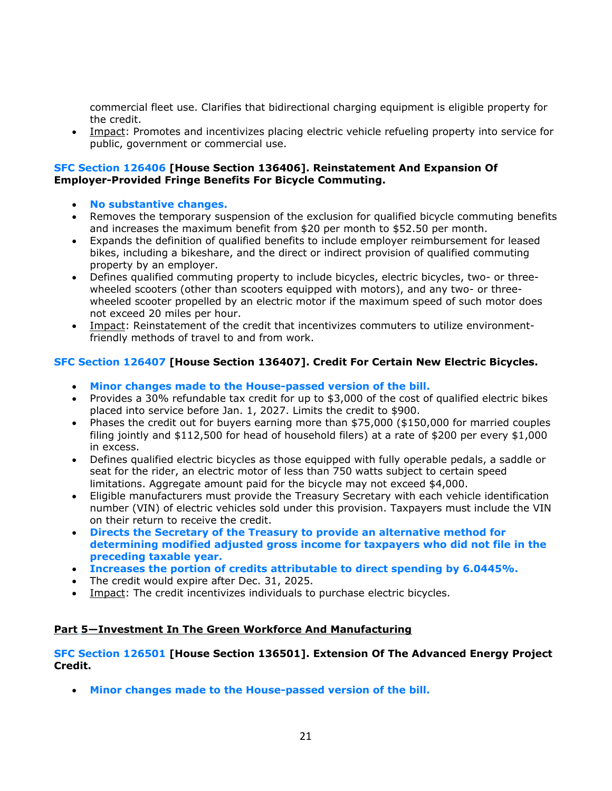commercial fleet use. Clarifies that bidirectional charging equipment is eligible property for the credit.

• Impact: Promotes and incentivizes placing electric vehicle refueling property into service for public, government or commercial use.

#### **SFC Section 126406 [House Section 136406]. Reinstatement And Expansion Of Employer-Provided Fringe Benefits For Bicycle Commuting.**

- **No substantive changes.**
- Removes the temporary suspension of the exclusion for qualified bicycle commuting benefits and increases the maximum benefit from \$20 per month to \$52.50 per month.
- Expands the definition of qualified benefits to include employer reimbursement for leased bikes, including a bikeshare, and the direct or indirect provision of qualified commuting property by an employer.
- Defines qualified commuting property to include bicycles, electric bicycles, two- or threewheeled scooters (other than scooters equipped with motors), and any two- or threewheeled scooter propelled by an electric motor if the maximum speed of such motor does not exceed 20 miles per hour.
- Impact: Reinstatement of the credit that incentivizes commuters to utilize environmentfriendly methods of travel to and from work.

## **SFC Section 126407 [House Section 136407]. Credit For Certain New Electric Bicycles.**

- **Minor changes made to the House-passed version of the bill.**
- Provides a 30% refundable tax credit for up to \$3,000 of the cost of qualified electric bikes placed into service before Jan. 1, 2027. Limits the credit to \$900.
- Phases the credit out for buyers earning more than \$75,000 (\$150,000 for married couples filing jointly and \$112,500 for head of household filers) at a rate of \$200 per every \$1,000 in excess.
- Defines qualified electric bicycles as those equipped with fully operable pedals, a saddle or seat for the rider, an electric motor of less than 750 watts subject to certain speed limitations. Aggregate amount paid for the bicycle may not exceed \$4,000.
- Eligible manufacturers must provide the Treasury Secretary with each vehicle identification number (VIN) of electric vehicles sold under this provision. Taxpayers must include the VIN on their return to receive the credit.
- **Directs the Secretary of the Treasury to provide an alternative method for determining modified adjusted gross income for taxpayers who did not file in the preceding taxable year.**
- **Increases the portion of credits attributable to direct spending by 6.0445%.**
- The credit would expire after Dec. 31, 2025.
- Impact: The credit incentivizes individuals to purchase electric bicycles.

## **Part 5—Investment In The Green Workforce And Manufacturing**

## **SFC Section 126501 [House Section 136501]. Extension Of The Advanced Energy Project Credit.**

• **Minor changes made to the House-passed version of the bill.**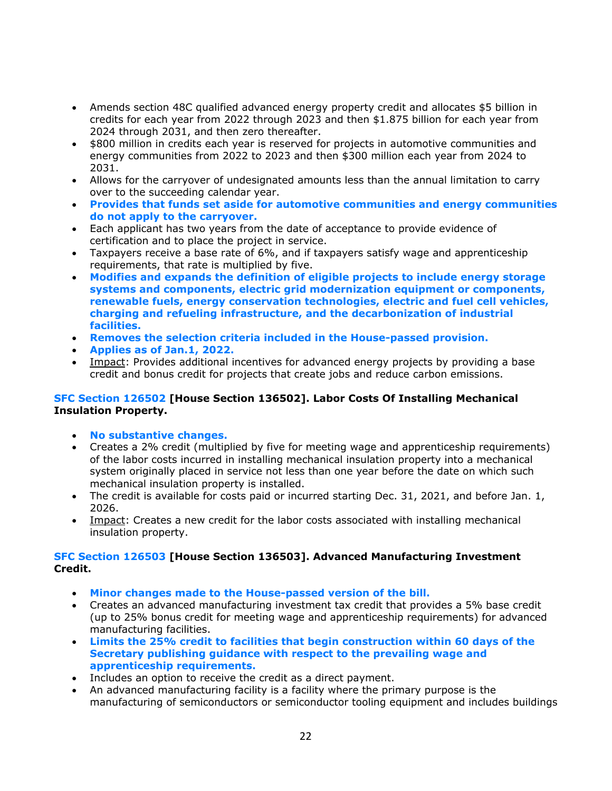- Amends section 48C qualified advanced energy property credit and allocates \$5 billion in credits for each year from 2022 through 2023 and then \$1.875 billion for each year from 2024 through 2031, and then zero thereafter.
- \$800 million in credits each year is reserved for projects in automotive communities and energy communities from 2022 to 2023 and then \$300 million each year from 2024 to 2031.
- Allows for the carryover of undesignated amounts less than the annual limitation to carry over to the succeeding calendar year.
- **Provides that funds set aside for automotive communities and energy communities do not apply to the carryover.**
- Each applicant has two years from the date of acceptance to provide evidence of certification and to place the project in service.
- Taxpayers receive a base rate of 6%, and if taxpayers satisfy wage and apprenticeship requirements, that rate is multiplied by five.
- **Modifies and expands the definition of eligible projects to include energy storage systems and components, electric grid modernization equipment or components, renewable fuels, energy conservation technologies, electric and fuel cell vehicles, charging and refueling infrastructure, and the decarbonization of industrial facilities.**
- **Removes the selection criteria included in the House-passed provision.**
- **Applies as of Jan.1, 2022.**
- Impact: Provides additional incentives for advanced energy projects by providing a base credit and bonus credit for projects that create jobs and reduce carbon emissions.

## **SFC Section 126502 [House Section 136502]. Labor Costs Of Installing Mechanical Insulation Property.**

- **No substantive changes.**
- Creates a 2% credit (multiplied by five for meeting wage and apprenticeship requirements) of the labor costs incurred in installing mechanical insulation property into a mechanical system originally placed in service not less than one year before the date on which such mechanical insulation property is installed.
- The credit is available for costs paid or incurred starting Dec. 31, 2021, and before Jan. 1, 2026.
- Impact: Creates a new credit for the labor costs associated with installing mechanical insulation property.

## **SFC Section 126503 [House Section 136503]. Advanced Manufacturing Investment Credit.**

- **Minor changes made to the House-passed version of the bill.**
- Creates an advanced manufacturing investment tax credit that provides a 5% base credit (up to 25% bonus credit for meeting wage and apprenticeship requirements) for advanced manufacturing facilities.
- **Limits the 25% credit to facilities that begin construction within 60 days of the Secretary publishing guidance with respect to the prevailing wage and apprenticeship requirements.**
- Includes an option to receive the credit as a direct payment.
- An advanced manufacturing facility is a facility where the primary purpose is the manufacturing of semiconductors or semiconductor tooling equipment and includes buildings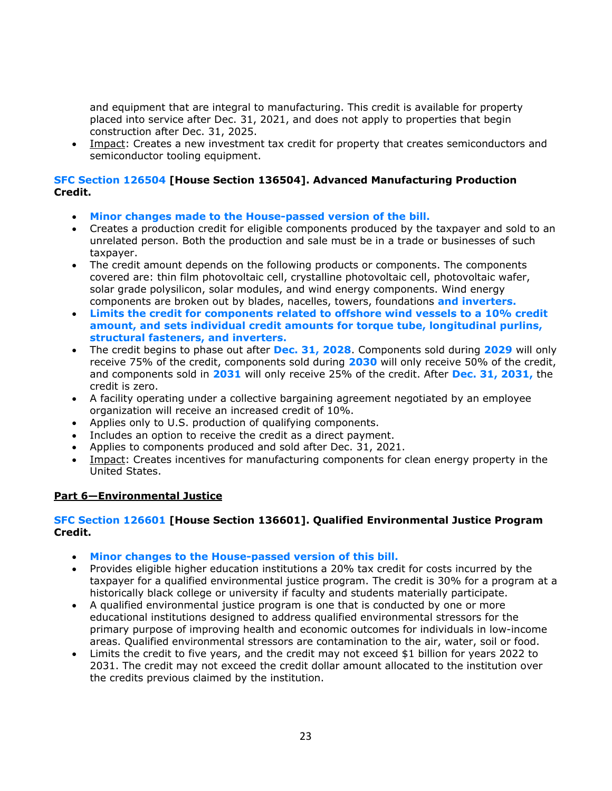and equipment that are integral to manufacturing. This credit is available for property placed into service after Dec. 31, 2021, and does not apply to properties that begin construction after Dec. 31, 2025.

• Impact: Creates a new investment tax credit for property that creates semiconductors and semiconductor tooling equipment.

## **SFC Section 126504 [House Section 136504]. Advanced Manufacturing Production Credit.**

- **Minor changes made to the House-passed version of the bill.**
- Creates a production credit for eligible components produced by the taxpayer and sold to an unrelated person. Both the production and sale must be in a trade or businesses of such taxpayer.
- The credit amount depends on the following products or components. The components covered are: thin film photovoltaic cell, crystalline photovoltaic cell, photovoltaic wafer, solar grade polysilicon, solar modules, and wind energy components. Wind energy components are broken out by blades, nacelles, towers, foundations **and inverters.**
- **Limits the credit for components related to offshore wind vessels to a 10% credit amount, and sets individual credit amounts for torque tube, longitudinal purlins, structural fasteners, and inverters.**
- The credit begins to phase out after **Dec. 31, 2028**. Components sold during **2029** will only receive 75% of the credit, components sold during **2030** will only receive 50% of the credit, and components sold in **2031** will only receive 25% of the credit. After **Dec. 31, 2031,** the credit is zero.
- A facility operating under a collective bargaining agreement negotiated by an employee organization will receive an increased credit of 10%.
- Applies only to U.S. production of qualifying components.
- Includes an option to receive the credit as a direct payment.
- Applies to components produced and sold after Dec. 31, 2021.
- Impact: Creates incentives for manufacturing components for clean energy property in the United States.

#### **Part 6—Environmental Justice**

#### **SFC Section 126601 [House Section 136601]. Qualified Environmental Justice Program Credit.**

- **Minor changes to the House-passed version of this bill.**
- Provides eligible higher education institutions a 20% tax credit for costs incurred by the taxpayer for a qualified environmental justice program. The credit is 30% for a program at a historically black college or university if faculty and students materially participate.
- A qualified environmental justice program is one that is conducted by one or more educational institutions designed to address qualified environmental stressors for the primary purpose of improving health and economic outcomes for individuals in low-income areas. Qualified environmental stressors are contamination to the air, water, soil or food.
- Limits the credit to five years, and the credit may not exceed \$1 billion for years 2022 to 2031. The credit may not exceed the credit dollar amount allocated to the institution over the credits previous claimed by the institution.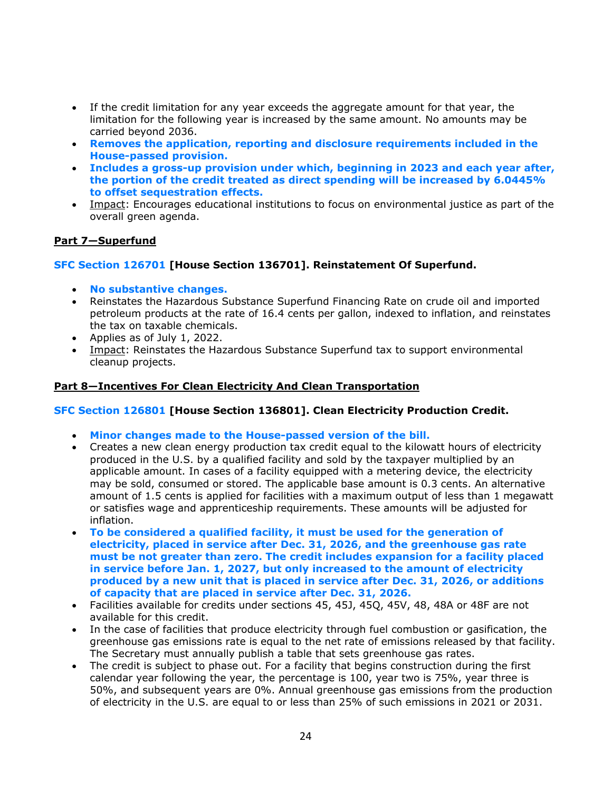- If the credit limitation for any year exceeds the aggregate amount for that year, the limitation for the following year is increased by the same amount. No amounts may be carried beyond 2036.
- **Removes the application, reporting and disclosure requirements included in the House-passed provision.**
- **Includes a gross-up provision under which, beginning in 2023 and each year after, the portion of the credit treated as direct spending will be increased by 6.0445% to offset sequestration effects.**
- Impact: Encourages educational institutions to focus on environmental justice as part of the overall green agenda.

## **Part 7—Superfund**

## **SFC Section 126701 [House Section 136701]. Reinstatement Of Superfund.**

- **No substantive changes.**
- Reinstates the Hazardous Substance Superfund Financing Rate on crude oil and imported petroleum products at the rate of 16.4 cents per gallon, indexed to inflation, and reinstates the tax on taxable chemicals.
- Applies as of July 1, 2022.
- Impact: Reinstates the Hazardous Substance Superfund tax to support environmental cleanup projects.

#### **Part 8—Incentives For Clean Electricity And Clean Transportation**

#### **SFC Section 126801 [House Section 136801]. Clean Electricity Production Credit.**

- **Minor changes made to the House-passed version of the bill.**
- Creates a new clean energy production tax credit equal to the kilowatt hours of electricity produced in the U.S. by a qualified facility and sold by the taxpayer multiplied by an applicable amount. In cases of a facility equipped with a metering device, the electricity may be sold, consumed or stored. The applicable base amount is 0.3 cents. An alternative amount of 1.5 cents is applied for facilities with a maximum output of less than 1 megawatt or satisfies wage and apprenticeship requirements. These amounts will be adjusted for inflation.
- **To be considered a qualified facility, it must be used for the generation of electricity, placed in service after Dec. 31, 2026, and the greenhouse gas rate must be not greater than zero. The credit includes expansion for a facility placed in service before Jan. 1, 2027, but only increased to the amount of electricity produced by a new unit that is placed in service after Dec. 31, 2026, or additions of capacity that are placed in service after Dec. 31, 2026.**
- Facilities available for credits under sections 45, 45J, 45Q, 45V, 48, 48A or 48F are not available for this credit.
- In the case of facilities that produce electricity through fuel combustion or gasification, the greenhouse gas emissions rate is equal to the net rate of emissions released by that facility. The Secretary must annually publish a table that sets greenhouse gas rates.
- The credit is subject to phase out. For a facility that begins construction during the first calendar year following the year, the percentage is 100, year two is 75%, year three is 50%, and subsequent years are 0%. Annual greenhouse gas emissions from the production of electricity in the U.S. are equal to or less than 25% of such emissions in 2021 or 2031.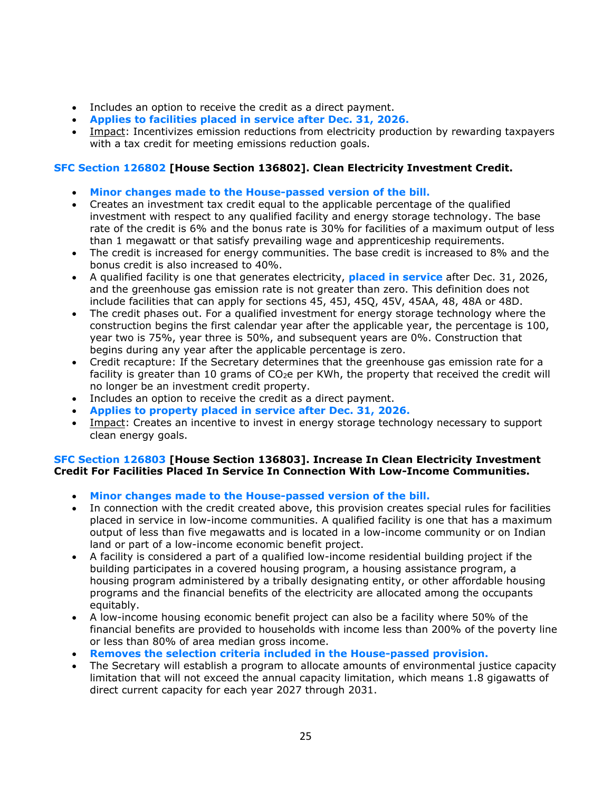- Includes an option to receive the credit as a direct payment.
- **Applies to facilities placed in service after Dec. 31, 2026.**
- Impact: Incentivizes emission reductions from electricity production by rewarding taxpayers with a tax credit for meeting emissions reduction goals.

## **SFC Section 126802 [House Section 136802]. Clean Electricity Investment Credit.**

- **Minor changes made to the House-passed version of the bill.**
- Creates an investment tax credit equal to the applicable percentage of the qualified investment with respect to any qualified facility and energy storage technology. The base rate of the credit is 6% and the bonus rate is 30% for facilities of a maximum output of less than 1 megawatt or that satisfy prevailing wage and apprenticeship requirements.
- The credit is increased for energy communities. The base credit is increased to 8% and the bonus credit is also increased to 40%.
- A qualified facility is one that generates electricity, **placed in service** after Dec. 31, 2026, and the greenhouse gas emission rate is not greater than zero. This definition does not include facilities that can apply for sections 45, 45J, 45Q, 45V, 45AA, 48, 48A or 48D.
- The credit phases out. For a qualified investment for energy storage technology where the construction begins the first calendar year after the applicable year, the percentage is 100, year two is 75%, year three is 50%, and subsequent years are 0%. Construction that begins during any year after the applicable percentage is zero.
- Credit recapture: If the Secretary determines that the greenhouse gas emission rate for a facility is greater than 10 grams of  $CO<sub>2</sub>e$  per KWh, the property that received the credit will no longer be an investment credit property.
- Includes an option to receive the credit as a direct payment.
- **Applies to property placed in service after Dec. 31, 2026.**
- Impact: Creates an incentive to invest in energy storage technology necessary to support clean energy goals.

## **SFC Section 126803 [House Section 136803]. Increase In Clean Electricity Investment Credit For Facilities Placed In Service In Connection With Low-Income Communities.**

- **Minor changes made to the House-passed version of the bill.**
- In connection with the credit created above, this provision creates special rules for facilities placed in service in low-income communities. A qualified facility is one that has a maximum output of less than five megawatts and is located in a low-income community or on Indian land or part of a low-income economic benefit project.
- A facility is considered a part of a qualified low-income residential building project if the building participates in a covered housing program, a housing assistance program, a housing program administered by a tribally designating entity, or other affordable housing programs and the financial benefits of the electricity are allocated among the occupants equitably.
- A low-income housing economic benefit project can also be a facility where 50% of the financial benefits are provided to households with income less than 200% of the poverty line or less than 80% of area median gross income.
- **Removes the selection criteria included in the House-passed provision.**
- The Secretary will establish a program to allocate amounts of environmental justice capacity limitation that will not exceed the annual capacity limitation, which means 1.8 gigawatts of direct current capacity for each year 2027 through 2031.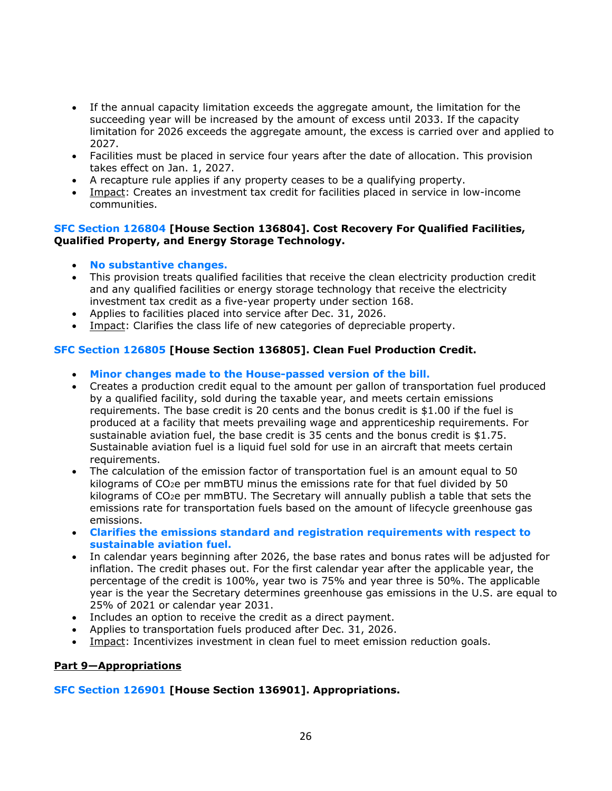- If the annual capacity limitation exceeds the aggregate amount, the limitation for the succeeding year will be increased by the amount of excess until 2033. If the capacity limitation for 2026 exceeds the aggregate amount, the excess is carried over and applied to 2027.
- Facilities must be placed in service four years after the date of allocation. This provision takes effect on Jan. 1, 2027.
- A recapture rule applies if any property ceases to be a qualifying property.
- Impact: Creates an investment tax credit for facilities placed in service in low-income communities.

#### **SFC Section 126804 [House Section 136804]. Cost Recovery For Qualified Facilities, Qualified Property, and Energy Storage Technology.**

- **No substantive changes.**
- This provision treats qualified facilities that receive the clean electricity production credit and any qualified facilities or energy storage technology that receive the electricity investment tax credit as a five-year property under section 168.
- Applies to facilities placed into service after Dec. 31, 2026.
- Impact: Clarifies the class life of new categories of depreciable property.

## **SFC Section 126805 [House Section 136805]. Clean Fuel Production Credit.**

- **Minor changes made to the House-passed version of the bill.**
- Creates a production credit equal to the amount per gallon of transportation fuel produced by a qualified facility, sold during the taxable year, and meets certain emissions requirements. The base credit is 20 cents and the bonus credit is \$1.00 if the fuel is produced at a facility that meets prevailing wage and apprenticeship requirements. For sustainable aviation fuel, the base credit is 35 cents and the bonus credit is \$1.75. Sustainable aviation fuel is a liquid fuel sold for use in an aircraft that meets certain requirements.
- The calculation of the emission factor of transportation fuel is an amount equal to 50 kilograms of  $CO<sub>2</sub>e$  per mmBTU minus the emissions rate for that fuel divided by 50 kilograms of CO<sub>2</sub>e per mmBTU. The Secretary will annually publish a table that sets the emissions rate for transportation fuels based on the amount of lifecycle greenhouse gas emissions.
- **Clarifies the emissions standard and registration requirements with respect to sustainable aviation fuel.**
- In calendar years beginning after 2026, the base rates and bonus rates will be adjusted for inflation. The credit phases out. For the first calendar year after the applicable year, the percentage of the credit is 100%, year two is 75% and year three is 50%. The applicable year is the year the Secretary determines greenhouse gas emissions in the U.S. are equal to 25% of 2021 or calendar year 2031.
- Includes an option to receive the credit as a direct payment.
- Applies to transportation fuels produced after Dec. 31, 2026.
- Impact: Incentivizes investment in clean fuel to meet emission reduction goals.

#### **Part 9—Appropriations**

## **SFC Section 126901 [House Section 136901]. Appropriations.**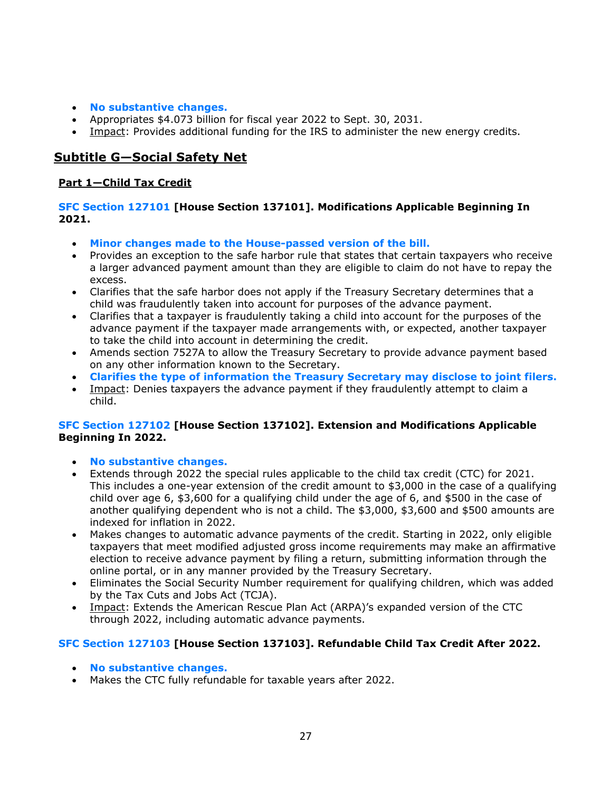- **No substantive changes.**
- Appropriates \$4.073 billion for fiscal year 2022 to Sept. 30, 2031.
- Impact: Provides additional funding for the IRS to administer the new energy credits.

# **Subtitle G—Social Safety Net**

## **Part 1—Child Tax Credit**

## **SFC Section 127101 [House Section 137101]. Modifications Applicable Beginning In 2021.**

- **Minor changes made to the House-passed version of the bill.**
- Provides an exception to the safe harbor rule that states that certain taxpayers who receive a larger advanced payment amount than they are eligible to claim do not have to repay the excess.
- Clarifies that the safe harbor does not apply if the Treasury Secretary determines that a child was fraudulently taken into account for purposes of the advance payment.
- Clarifies that a taxpayer is fraudulently taking a child into account for the purposes of the advance payment if the taxpayer made arrangements with, or expected, another taxpayer to take the child into account in determining the credit.
- Amends section 7527A to allow the Treasury Secretary to provide advance payment based on any other information known to the Secretary.
- **Clarifies the type of information the Treasury Secretary may disclose to joint filers.**
- Impact: Denies taxpayers the advance payment if they fraudulently attempt to claim a child.

## **SFC Section 127102 [House Section 137102]. Extension and Modifications Applicable Beginning In 2022.**

- **No substantive changes.**
- Extends through 2022 the special rules applicable to the child tax credit (CTC) for 2021. This includes a one-year extension of the credit amount to \$3,000 in the case of a qualifying child over age 6, \$3,600 for a qualifying child under the age of 6, and \$500 in the case of another qualifying dependent who is not a child. The \$3,000, \$3,600 and \$500 amounts are indexed for inflation in 2022.
- Makes changes to automatic advance payments of the credit. Starting in 2022, only eligible taxpayers that meet modified adjusted gross income requirements may make an affirmative election to receive advance payment by filing a return, submitting information through the online portal, or in any manner provided by the Treasury Secretary.
- Eliminates the Social Security Number requirement for qualifying children, which was added by the Tax Cuts and Jobs Act (TCJA).
- Impact: Extends the American Rescue Plan Act (ARPA)'s expanded version of the CTC through 2022, including automatic advance payments.

## **SFC Section 127103 [House Section 137103]. Refundable Child Tax Credit After 2022.**

- **No substantive changes.**
- Makes the CTC fully refundable for taxable years after 2022.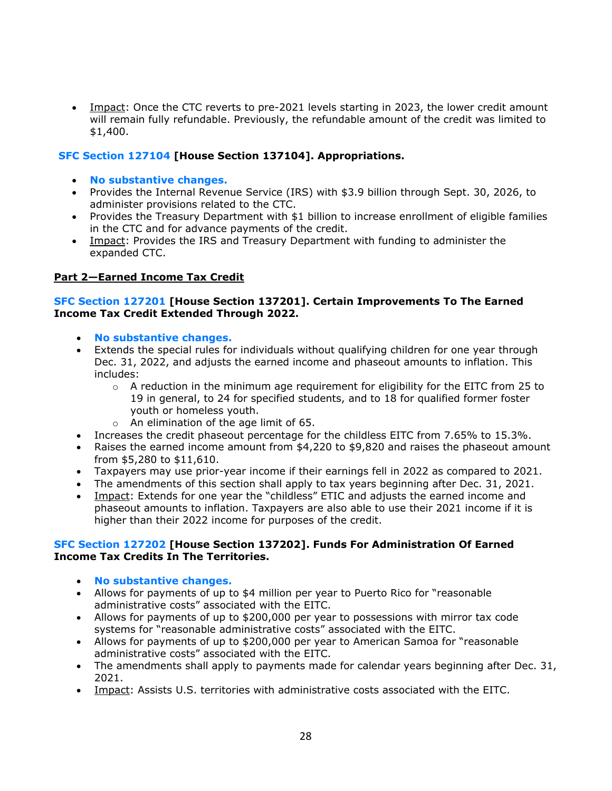• Impact: Once the CTC reverts to pre-2021 levels starting in 2023, the lower credit amount will remain fully refundable. Previously, the refundable amount of the credit was limited to \$1,400.

## **SFC Section 127104 [House Section 137104]. Appropriations.**

- **No substantive changes.**
- Provides the Internal Revenue Service (IRS) with \$3.9 billion through Sept. 30, 2026, to administer provisions related to the CTC.
- Provides the Treasury Department with \$1 billion to increase enrollment of eligible families in the CTC and for advance payments of the credit.
- Impact: Provides the IRS and Treasury Department with funding to administer the expanded CTC.

## **Part 2—Earned Income Tax Credit**

## **SFC Section 127201 [House Section 137201]. Certain Improvements To The Earned Income Tax Credit Extended Through 2022.**

- **No substantive changes.**
- Extends the special rules for individuals without qualifying children for one year through Dec. 31, 2022, and adjusts the earned income and phaseout amounts to inflation. This includes:
	- $\circ$  A reduction in the minimum age requirement for eligibility for the EITC from 25 to 19 in general, to 24 for specified students, and to 18 for qualified former foster youth or homeless youth.
	- o An elimination of the age limit of 65.
- Increases the credit phaseout percentage for the childless EITC from 7.65% to 15.3%.
- Raises the earned income amount from \$4,220 to \$9,820 and raises the phaseout amount from \$5,280 to \$11,610.
- Taxpayers may use prior-year income if their earnings fell in 2022 as compared to 2021.
- The amendments of this section shall apply to tax years beginning after Dec. 31, 2021.
- Impact: Extends for one year the "childless" ETIC and adjusts the earned income and phaseout amounts to inflation. Taxpayers are also able to use their 2021 income if it is higher than their 2022 income for purposes of the credit.

#### **SFC Section 127202 [House Section 137202]. Funds For Administration Of Earned Income Tax Credits In The Territories.**

- **No substantive changes.**
- Allows for payments of up to \$4 million per year to Puerto Rico for "reasonable administrative costs" associated with the EITC.
- Allows for payments of up to \$200,000 per year to possessions with mirror tax code systems for "reasonable administrative costs" associated with the EITC.
- Allows for payments of up to \$200,000 per year to American Samoa for "reasonable administrative costs" associated with the EITC.
- The amendments shall apply to payments made for calendar years beginning after Dec. 31, 2021.
- Impact: Assists U.S. territories with administrative costs associated with the EITC.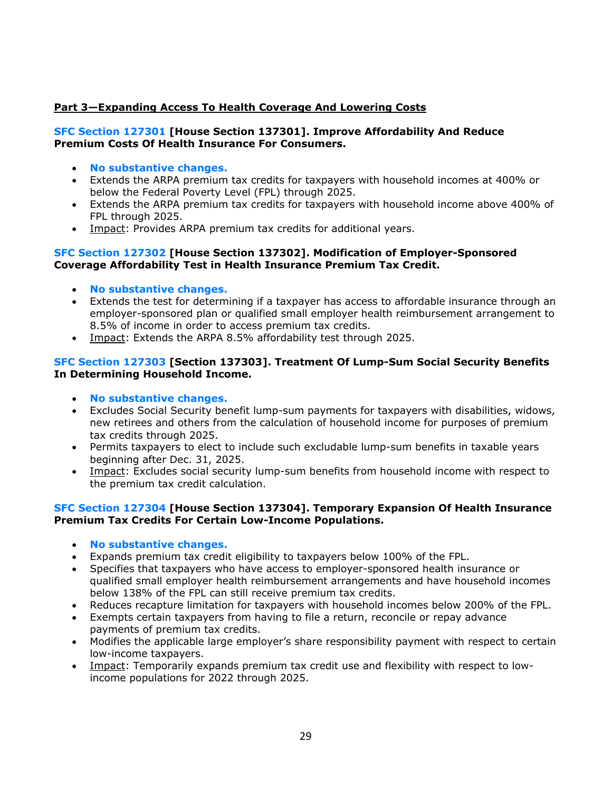## **Part 3—Expanding Access To Health Coverage And Lowering Costs**

#### **SFC Section 127301 [House Section 137301]. Improve Affordability And Reduce Premium Costs Of Health Insurance For Consumers.**

- **No substantive changes.**
- Extends the ARPA premium tax credits for taxpayers with household incomes at 400% or below the Federal Poverty Level (FPL) through 2025.
- Extends the ARPA premium tax credits for taxpayers with household income above 400% of FPL through 2025.
- Impact: Provides ARPA premium tax credits for additional years.

#### **SFC Section 127302 [House Section 137302]. Modification of Employer-Sponsored Coverage Affordability Test in Health Insurance Premium Tax Credit.**

- **No substantive changes.**
- Extends the test for determining if a taxpayer has access to affordable insurance through an employer-sponsored plan or qualified small employer health reimbursement arrangement to 8.5% of income in order to access premium tax credits.
- Impact: Extends the ARPA 8.5% affordability test through 2025.

## **SFC Section 127303 [Section 137303]. Treatment Of Lump-Sum Social Security Benefits In Determining Household Income.**

- **No substantive changes.**
- Excludes Social Security benefit lump-sum payments for taxpayers with disabilities, widows, new retirees and others from the calculation of household income for purposes of premium tax credits through 2025.
- Permits taxpayers to elect to include such excludable lump-sum benefits in taxable years beginning after Dec. 31, 2025.
- Impact: Excludes social security lump-sum benefits from household income with respect to the premium tax credit calculation.

#### **SFC Section 127304 [House Section 137304]. Temporary Expansion Of Health Insurance Premium Tax Credits For Certain Low-Income Populations.**

- **No substantive changes.**
- Expands premium tax credit eligibility to taxpayers below 100% of the FPL.
- Specifies that taxpayers who have access to employer-sponsored health insurance or qualified small employer health reimbursement arrangements and have household incomes below 138% of the FPL can still receive premium tax credits.
- Reduces recapture limitation for taxpayers with household incomes below 200% of the FPL.
- Exempts certain taxpayers from having to file a return, reconcile or repay advance payments of premium tax credits.
- Modifies the applicable large employer's share responsibility payment with respect to certain low-income taxpayers.
- Impact: Temporarily expands premium tax credit use and flexibility with respect to lowincome populations for 2022 through 2025.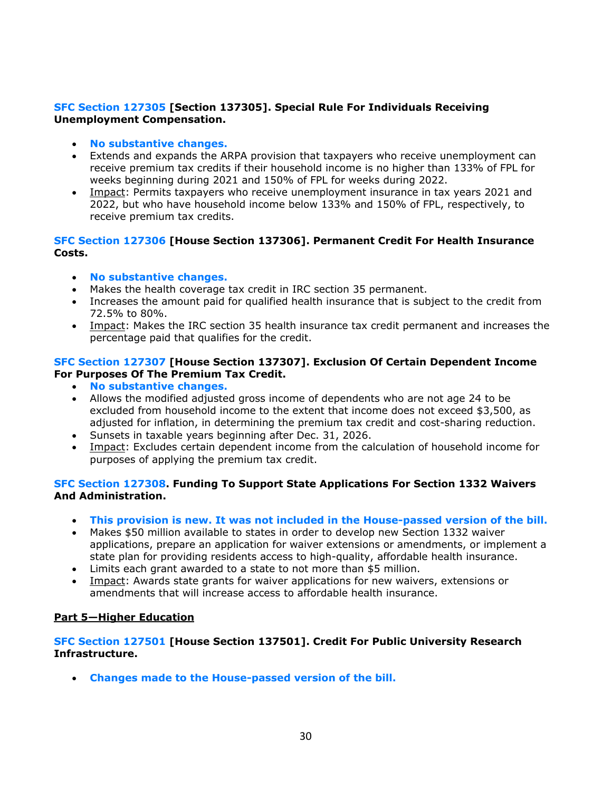## **SFC Section 127305 [Section 137305]. Special Rule For Individuals Receiving Unemployment Compensation.**

- **No substantive changes.**
- Extends and expands the ARPA provision that taxpayers who receive unemployment can receive premium tax credits if their household income is no higher than 133% of FPL for weeks beginning during 2021 and 150% of FPL for weeks during 2022.
- Impact: Permits taxpayers who receive unemployment insurance in tax years 2021 and 2022, but who have household income below 133% and 150% of FPL, respectively, to receive premium tax credits.

## **SFC Section 127306 [House Section 137306]. Permanent Credit For Health Insurance Costs.**

- **No substantive changes.**
- Makes the health coverage tax credit in IRC section 35 permanent.
- Increases the amount paid for qualified health insurance that is subject to the credit from 72.5% to 80%.
- Impact: Makes the IRC section 35 health insurance tax credit permanent and increases the percentage paid that qualifies for the credit.

#### **SFC Section 127307 [House Section 137307]. Exclusion Of Certain Dependent Income For Purposes Of The Premium Tax Credit.**

- **No substantive changes.**
- Allows the modified adjusted gross income of dependents who are not age 24 to be excluded from household income to the extent that income does not exceed \$3,500, as adjusted for inflation, in determining the premium tax credit and cost-sharing reduction.
- Sunsets in taxable years beginning after Dec. 31, 2026.
- Impact: Excludes certain dependent income from the calculation of household income for purposes of applying the premium tax credit.

## **SFC Section 127308. Funding To Support State Applications For Section 1332 Waivers And Administration.**

- **This provision is new. It was not included in the House-passed version of the bill.**
- Makes \$50 million available to states in order to develop new Section 1332 waiver applications, prepare an application for waiver extensions or amendments, or implement a state plan for providing residents access to high-quality, affordable health insurance.
- Limits each grant awarded to a state to not more than \$5 million.
- Impact: Awards state grants for waiver applications for new waivers, extensions or amendments that will increase access to affordable health insurance.

## **Part 5—Higher Education**

## **SFC Section 127501 [House Section 137501]. Credit For Public University Research Infrastructure.**

• **Changes made to the House-passed version of the bill.**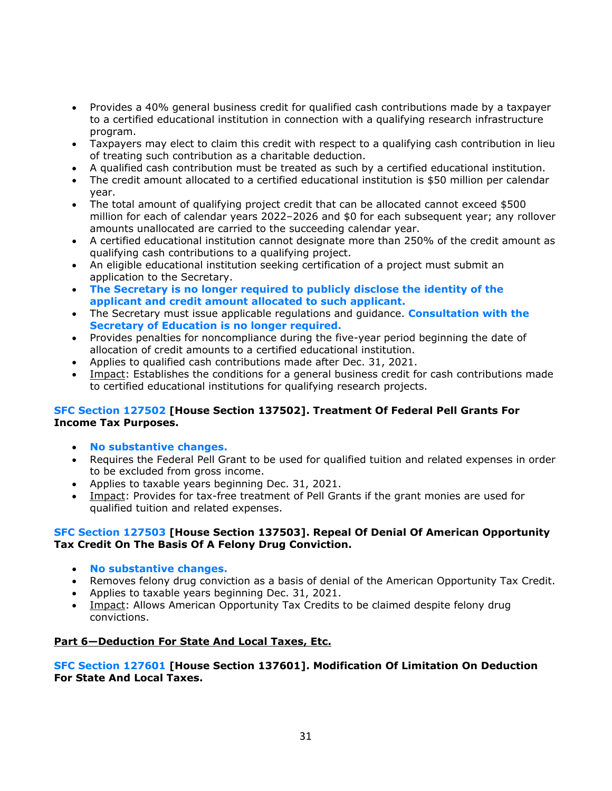- Provides a 40% general business credit for qualified cash contributions made by a taxpayer to a certified educational institution in connection with a qualifying research infrastructure program.
- Taxpayers may elect to claim this credit with respect to a qualifying cash contribution in lieu of treating such contribution as a charitable deduction.
- A qualified cash contribution must be treated as such by a certified educational institution.
- The credit amount allocated to a certified educational institution is \$50 million per calendar year.
- The total amount of qualifying project credit that can be allocated cannot exceed \$500 million for each of calendar years 2022–2026 and \$0 for each subsequent year; any rollover amounts unallocated are carried to the succeeding calendar year.
- A certified educational institution cannot designate more than 250% of the credit amount as qualifying cash contributions to a qualifying project.
- An eligible educational institution seeking certification of a project must submit an application to the Secretary.
- **The Secretary is no longer required to publicly disclose the identity of the applicant and credit amount allocated to such applicant.**
- The Secretary must issue applicable regulations and guidance. **Consultation with the Secretary of Education is no longer required.**
- Provides penalties for noncompliance during the five-year period beginning the date of allocation of credit amounts to a certified educational institution.
- Applies to qualified cash contributions made after Dec. 31, 2021.
- Impact: Establishes the conditions for a general business credit for cash contributions made to certified educational institutions for qualifying research projects.

## **SFC Section 127502 [House Section 137502]. Treatment Of Federal Pell Grants For Income Tax Purposes.**

- **No substantive changes.**
- Requires the Federal Pell Grant to be used for qualified tuition and related expenses in order to be excluded from gross income.
- Applies to taxable years beginning Dec. 31, 2021.
- Impact: Provides for tax-free treatment of Pell Grants if the grant monies are used for qualified tuition and related expenses.

## **SFC Section 127503 [House Section 137503]. Repeal Of Denial Of American Opportunity Tax Credit On The Basis Of A Felony Drug Conviction.**

- **No substantive changes.**
- Removes felony drug conviction as a basis of denial of the American Opportunity Tax Credit.
- Applies to taxable years beginning Dec. 31, 2021.
- Impact: Allows American Opportunity Tax Credits to be claimed despite felony drug convictions.

## **Part 6—Deduction For State And Local Taxes, Etc.**

## **SFC Section 127601 [House Section 137601]. Modification Of Limitation On Deduction For State And Local Taxes.**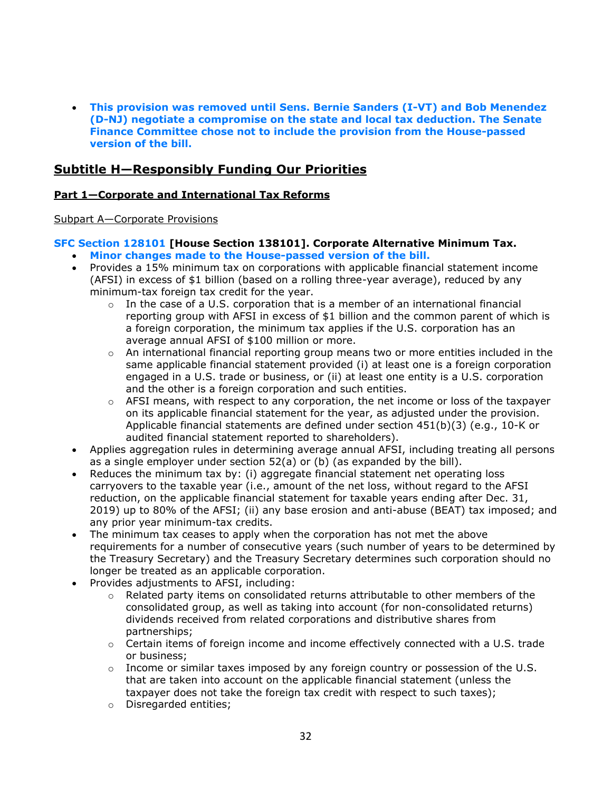• **This provision was removed until Sens. Bernie Sanders (I-VT) and Bob Menendez (D-NJ) negotiate a compromise on the state and local tax deduction. The Senate Finance Committee chose not to include the provision from the House-passed version of the bill.** 

# **Subtitle H—Responsibly Funding Our Priorities**

## **Part 1—Corporate and International Tax Reforms**

#### Subpart A—Corporate Provisions

## **SFC Section 128101 [House Section 138101]. Corporate Alternative Minimum Tax.**

- **Minor changes made to the House-passed version of the bill.**
- Provides a 15% minimum tax on corporations with applicable financial statement income (AFSI) in excess of \$1 billion (based on a rolling three-year average), reduced by any minimum-tax foreign tax credit for the year.
	- $\circ$  In the case of a U.S. corporation that is a member of an international financial reporting group with AFSI in excess of \$1 billion and the common parent of which is a foreign corporation, the minimum tax applies if the U.S. corporation has an average annual AFSI of \$100 million or more.
	- $\circ$  An international financial reporting group means two or more entities included in the same applicable financial statement provided (i) at least one is a foreign corporation engaged in a U.S. trade or business, or (ii) at least one entity is a U.S. corporation and the other is a foreign corporation and such entities.
	- $\circ$  AFSI means, with respect to any corporation, the net income or loss of the taxpayer on its applicable financial statement for the year, as adjusted under the provision. Applicable financial statements are defined under section 451(b)(3) (e.g., 10-K or audited financial statement reported to shareholders).
- Applies aggregation rules in determining average annual AFSI, including treating all persons as a single employer under section 52(a) or (b) (as expanded by the bill).
- Reduces the minimum tax by: (i) aggregate financial statement net operating loss carryovers to the taxable year (i.e., amount of the net loss, without regard to the AFSI reduction, on the applicable financial statement for taxable years ending after Dec. 31, 2019) up to 80% of the AFSI; (ii) any base erosion and anti-abuse (BEAT) tax imposed; and any prior year minimum-tax credits.
- The minimum tax ceases to apply when the corporation has not met the above requirements for a number of consecutive years (such number of years to be determined by the Treasury Secretary) and the Treasury Secretary determines such corporation should no longer be treated as an applicable corporation.
- Provides adjustments to AFSI, including:
	- $\circ$  Related party items on consolidated returns attributable to other members of the consolidated group, as well as taking into account (for non-consolidated returns) dividends received from related corporations and distributive shares from partnerships;
	- $\circ$  Certain items of foreign income and income effectively connected with a U.S. trade or business;
	- $\circ$  Income or similar taxes imposed by any foreign country or possession of the U.S. that are taken into account on the applicable financial statement (unless the taxpayer does not take the foreign tax credit with respect to such taxes);
	- o Disregarded entities;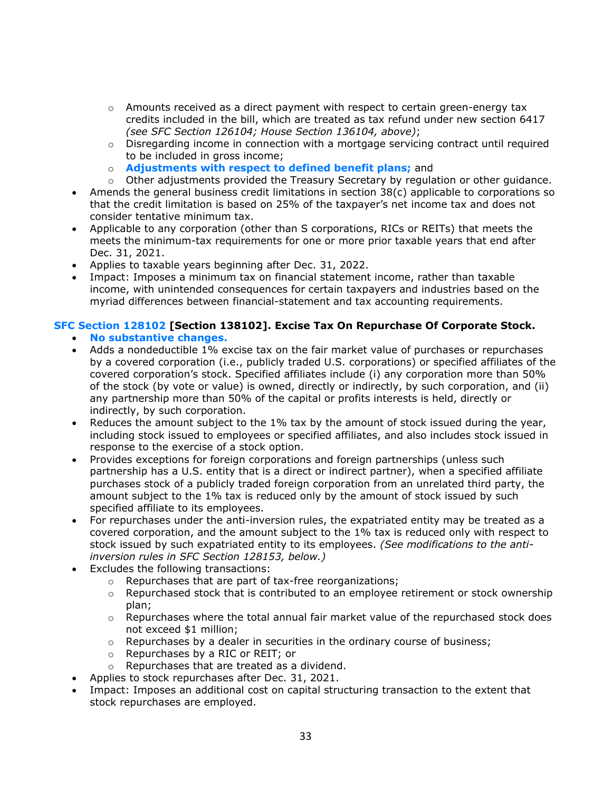- $\circ$  Amounts received as a direct payment with respect to certain green-energy tax credits included in the bill, which are treated as tax refund under new section 6417 *(see SFC Section 126104; House Section 136104, above)*;
- $\circ$  Disregarding income in connection with a mortgage servicing contract until required to be included in gross income;
- o **Adjustments with respect to defined benefit plans;** and
- $\circ$  Other adjustments provided the Treasury Secretary by regulation or other guidance.
- Amends the general business credit limitations in section 38(c) applicable to corporations so that the credit limitation is based on 25% of the taxpayer's net income tax and does not consider tentative minimum tax.
- Applicable to any corporation (other than S corporations, RICs or REITs) that meets the meets the minimum-tax requirements for one or more prior taxable years that end after Dec. 31, 2021.
- Applies to taxable years beginning after Dec. 31, 2022.
- Impact: Imposes a minimum tax on financial statement income, rather than taxable income, with unintended consequences for certain taxpayers and industries based on the myriad differences between financial-statement and tax accounting requirements.

## **SFC Section 128102 [Section 138102]. Excise Tax On Repurchase Of Corporate Stock.**

- **No substantive changes.**
- Adds a nondeductible 1% excise tax on the fair market value of purchases or repurchases by a covered corporation (i.e., publicly traded U.S. corporations) or specified affiliates of the covered corporation's stock. Specified affiliates include (i) any corporation more than 50% of the stock (by vote or value) is owned, directly or indirectly, by such corporation, and (ii) any partnership more than 50% of the capital or profits interests is held, directly or indirectly, by such corporation.
- Reduces the amount subject to the 1% tax by the amount of stock issued during the year, including stock issued to employees or specified affiliates, and also includes stock issued in response to the exercise of a stock option.
- Provides exceptions for foreign corporations and foreign partnerships (unless such partnership has a U.S. entity that is a direct or indirect partner), when a specified affiliate purchases stock of a publicly traded foreign corporation from an unrelated third party, the amount subject to the 1% tax is reduced only by the amount of stock issued by such specified affiliate to its employees.
- For repurchases under the anti-inversion rules, the expatriated entity may be treated as a covered corporation, and the amount subject to the 1% tax is reduced only with respect to stock issued by such expatriated entity to its employees. *(See modifications to the antiinversion rules in SFC Section 128153, below.)*
- Excludes the following transactions:
	- o Repurchases that are part of tax-free reorganizations;
	- o Repurchased stock that is contributed to an employee retirement or stock ownership plan;
	- $\circ$  Repurchases where the total annual fair market value of the repurchased stock does not exceed \$1 million;
	- $\circ$  Repurchases by a dealer in securities in the ordinary course of business;
	- o Repurchases by a RIC or REIT; or
	- o Repurchases that are treated as a dividend.
- Applies to stock repurchases after Dec. 31, 2021.
- Impact: Imposes an additional cost on capital structuring transaction to the extent that stock repurchases are employed.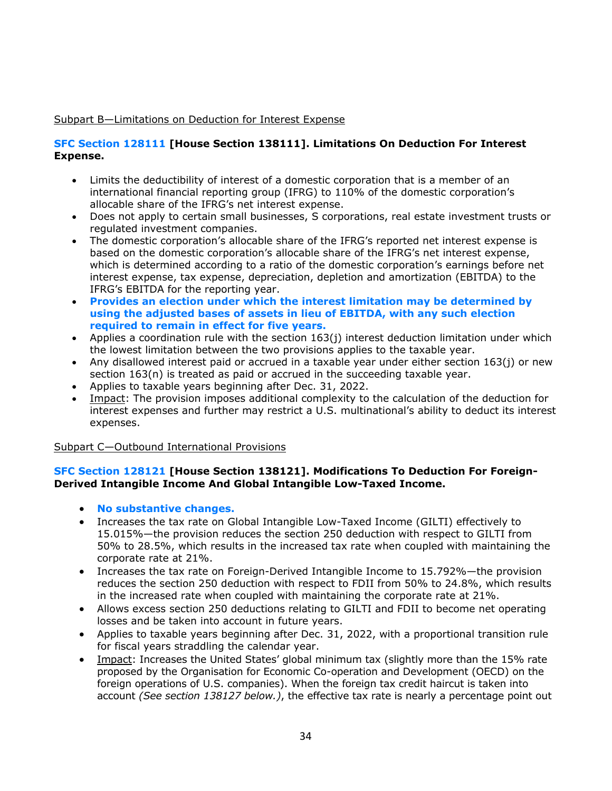## Subpart B—Limitations on Deduction for Interest Expense

## **SFC Section 128111 [House Section 138111]. Limitations On Deduction For Interest Expense.**

- Limits the deductibility of interest of a domestic corporation that is a member of an international financial reporting group (IFRG) to 110% of the domestic corporation's allocable share of the IFRG's net interest expense.
- Does not apply to certain small businesses, S corporations, real estate investment trusts or regulated investment companies.
- The domestic corporation's allocable share of the IFRG's reported net interest expense is based on the domestic corporation's allocable share of the IFRG's net interest expense, which is determined according to a ratio of the domestic corporation's earnings before net interest expense, tax expense, depreciation, depletion and amortization (EBITDA) to the IFRG's EBITDA for the reporting year.
- **Provides an election under which the interest limitation may be determined by using the adjusted bases of assets in lieu of EBITDA, with any such election required to remain in effect for five years.**
- Applies a coordination rule with the section 163(j) interest deduction limitation under which the lowest limitation between the two provisions applies to the taxable year.
- Any disallowed interest paid or accrued in a taxable year under either section 163(j) or new section 163(n) is treated as paid or accrued in the succeeding taxable year.
- Applies to taxable years beginning after Dec. 31, 2022.
- Impact: The provision imposes additional complexity to the calculation of the deduction for interest expenses and further may restrict a U.S. multinational's ability to deduct its interest expenses.

Subpart C—Outbound International Provisions

## **SFC Section 128121 [House Section 138121]. Modifications To Deduction For Foreign-Derived Intangible Income And Global Intangible Low-Taxed Income.**

- **No substantive changes.**
- Increases the tax rate on Global Intangible Low-Taxed Income (GILTI) effectively to 15.015%—the provision reduces the section 250 deduction with respect to GILTI from 50% to 28.5%, which results in the increased tax rate when coupled with maintaining the corporate rate at 21%.
- Increases the tax rate on Foreign-Derived Intangible Income to 15.792%—the provision reduces the section 250 deduction with respect to FDII from 50% to 24.8%, which results in the increased rate when coupled with maintaining the corporate rate at 21%.
- Allows excess section 250 deductions relating to GILTI and FDII to become net operating losses and be taken into account in future years.
- Applies to taxable years beginning after Dec. 31, 2022, with a proportional transition rule for fiscal years straddling the calendar year.
- Impact: Increases the United States' global minimum tax (slightly more than the 15% rate proposed by the Organisation for Economic Co-operation and Development (OECD) on the foreign operations of U.S. companies). When the foreign tax credit haircut is taken into account *(See section 138127 below.)*, the effective tax rate is nearly a percentage point out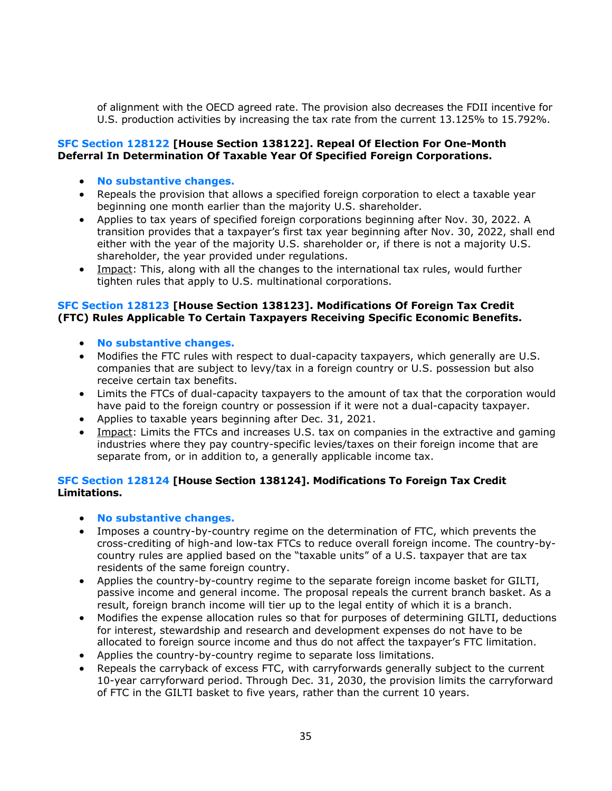of alignment with the OECD agreed rate. The provision also decreases the FDII incentive for U.S. production activities by increasing the tax rate from the current 13.125% to 15.792%.

#### **SFC Section 128122 [House Section 138122]. Repeal Of Election For One-Month Deferral In Determination Of Taxable Year Of Specified Foreign Corporations.**

- **No substantive changes.**
- Repeals the provision that allows a specified foreign corporation to elect a taxable year beginning one month earlier than the majority U.S. shareholder.
- Applies to tax years of specified foreign corporations beginning after Nov. 30, 2022. A transition provides that a taxpayer's first tax year beginning after Nov. 30, 2022, shall end either with the year of the majority U.S. shareholder or, if there is not a majority U.S. shareholder, the year provided under regulations.
- Impact: This, along with all the changes to the international tax rules, would further tighten rules that apply to U.S. multinational corporations.

## **SFC Section 128123 [House Section 138123]. Modifications Of Foreign Tax Credit (FTC) Rules Applicable To Certain Taxpayers Receiving Specific Economic Benefits.**

- **No substantive changes.**
- Modifies the FTC rules with respect to dual-capacity taxpayers, which generally are U.S. companies that are subject to levy/tax in a foreign country or U.S. possession but also receive certain tax benefits.
- Limits the FTCs of dual-capacity taxpayers to the amount of tax that the corporation would have paid to the foreign country or possession if it were not a dual-capacity taxpayer.
- Applies to taxable years beginning after Dec. 31, 2021.
- Impact: Limits the FTCs and increases U.S. tax on companies in the extractive and gaming industries where they pay country-specific levies/taxes on their foreign income that are separate from, or in addition to, a generally applicable income tax.

## **SFC Section 128124 [House Section 138124]. Modifications To Foreign Tax Credit Limitations.**

- **No substantive changes.**
- Imposes a country-by-country regime on the determination of FTC, which prevents the cross-crediting of high-and low-tax FTCs to reduce overall foreign income. The country-bycountry rules are applied based on the "taxable units" of a U.S. taxpayer that are tax residents of the same foreign country.
- Applies the country-by-country regime to the separate foreign income basket for GILTI, passive income and general income. The proposal repeals the current branch basket. As a result, foreign branch income will tier up to the legal entity of which it is a branch.
- Modifies the expense allocation rules so that for purposes of determining GILTI, deductions for interest, stewardship and research and development expenses do not have to be allocated to foreign source income and thus do not affect the taxpayer's FTC limitation.
- Applies the country-by-country regime to separate loss limitations.
- Repeals the carryback of excess FTC, with carryforwards generally subject to the current 10-year carryforward period. Through Dec. 31, 2030, the provision limits the carryforward of FTC in the GILTI basket to five years, rather than the current 10 years.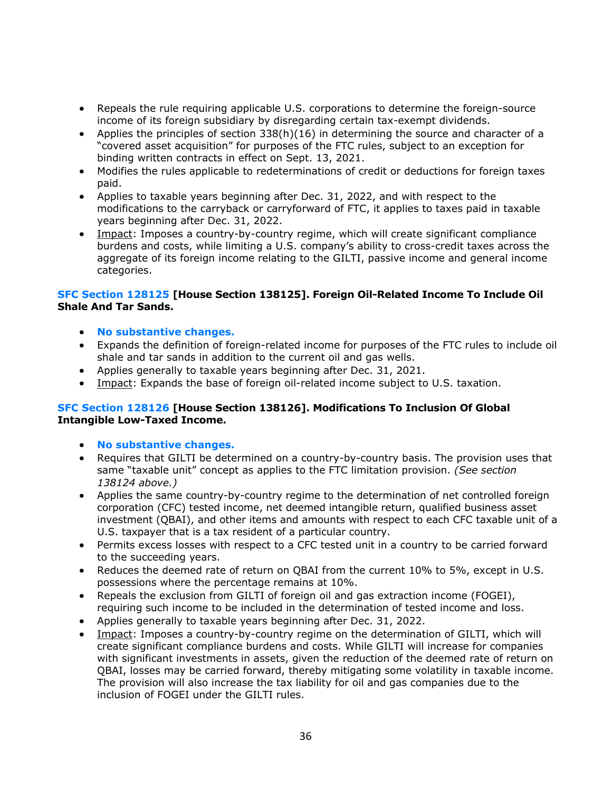- Repeals the rule requiring applicable U.S. corporations to determine the foreign-source income of its foreign subsidiary by disregarding certain tax-exempt dividends.
- Applies the principles of section 338(h)(16) in determining the source and character of a "covered asset acquisition" for purposes of the FTC rules, subject to an exception for binding written contracts in effect on Sept. 13, 2021.
- Modifies the rules applicable to redeterminations of credit or deductions for foreign taxes paid.
- Applies to taxable years beginning after Dec. 31, 2022, and with respect to the modifications to the carryback or carryforward of FTC, it applies to taxes paid in taxable years beginning after Dec. 31, 2022.
- Impact: Imposes a country-by-country regime, which will create significant compliance burdens and costs, while limiting a U.S. company's ability to cross-credit taxes across the aggregate of its foreign income relating to the GILTI, passive income and general income categories.

#### **SFC Section 128125 [House Section 138125]. Foreign Oil-Related Income To Include Oil Shale And Tar Sands.**

- **No substantive changes.**
- Expands the definition of foreign-related income for purposes of the FTC rules to include oil shale and tar sands in addition to the current oil and gas wells.
- Applies generally to taxable years beginning after Dec. 31, 2021.
- Impact: Expands the base of foreign oil-related income subject to U.S. taxation.

#### **SFC Section 128126 [House Section 138126]. Modifications To Inclusion Of Global Intangible Low-Taxed Income.**

- **No substantive changes.**
- Requires that GILTI be determined on a country-by-country basis. The provision uses that same "taxable unit" concept as applies to the FTC limitation provision. *(See section 138124 above.)*
- Applies the same country-by-country regime to the determination of net controlled foreign corporation (CFC) tested income, net deemed intangible return, qualified business asset investment (QBAI), and other items and amounts with respect to each CFC taxable unit of a U.S. taxpayer that is a tax resident of a particular country.
- Permits excess losses with respect to a CFC tested unit in a country to be carried forward to the succeeding years.
- Reduces the deemed rate of return on QBAI from the current 10% to 5%, except in U.S. possessions where the percentage remains at 10%.
- Repeals the exclusion from GILTI of foreign oil and gas extraction income (FOGEI), requiring such income to be included in the determination of tested income and loss.
- Applies generally to taxable years beginning after Dec. 31, 2022.
- Impact: Imposes a country-by-country regime on the determination of GILTI, which will create significant compliance burdens and costs. While GILTI will increase for companies with significant investments in assets, given the reduction of the deemed rate of return on QBAI, losses may be carried forward, thereby mitigating some volatility in taxable income. The provision will also increase the tax liability for oil and gas companies due to the inclusion of FOGEI under the GILTI rules.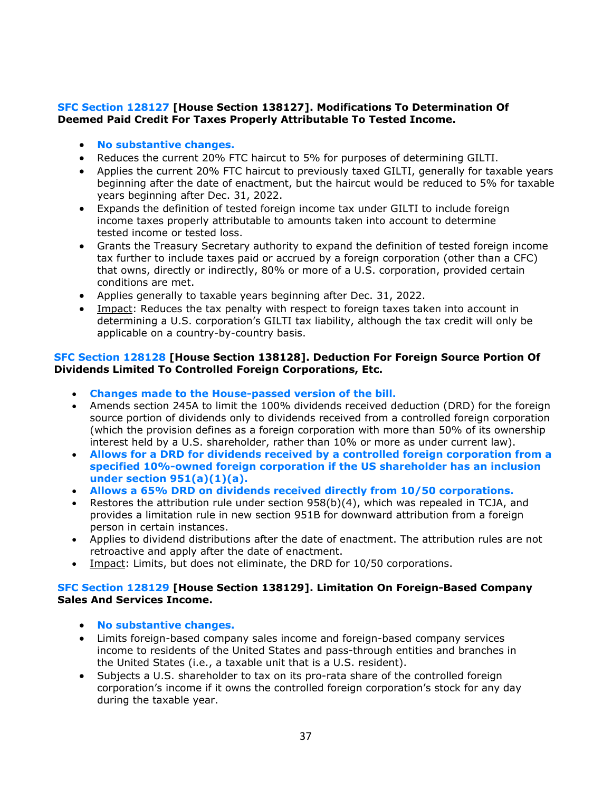## **SFC Section 128127 [House Section 138127]. Modifications To Determination Of Deemed Paid Credit For Taxes Properly Attributable To Tested Income.**

- **No substantive changes.**
- Reduces the current 20% FTC haircut to 5% for purposes of determining GILTI.
- Applies the current 20% FTC haircut to previously taxed GILTI, generally for taxable years beginning after the date of enactment, but the haircut would be reduced to 5% for taxable years beginning after Dec. 31, 2022.
- Expands the definition of tested foreign income tax under GILTI to include foreign income taxes properly attributable to amounts taken into account to determine tested income or tested loss.
- Grants the Treasury Secretary authority to expand the definition of tested foreign income tax further to include taxes paid or accrued by a foreign corporation (other than a CFC) that owns, directly or indirectly, 80% or more of a U.S. corporation, provided certain conditions are met.
- Applies generally to taxable years beginning after Dec. 31, 2022.
- Impact: Reduces the tax penalty with respect to foreign taxes taken into account in determining a U.S. corporation's GILTI tax liability, although the tax credit will only be applicable on a country-by-country basis.

## **SFC Section 128128 [House Section 138128]. Deduction For Foreign Source Portion Of Dividends Limited To Controlled Foreign Corporations, Etc.**

- **Changes made to the House-passed version of the bill.**
- Amends section 245A to limit the 100% dividends received deduction (DRD) for the foreign source portion of dividends only to dividends received from a controlled foreign corporation (which the provision defines as a foreign corporation with more than 50% of its ownership interest held by a U.S. shareholder, rather than 10% or more as under current law).
- **Allows for a DRD for dividends received by a controlled foreign corporation from a specified 10%-owned foreign corporation if the US shareholder has an inclusion under section 951(a)(1)(a).**
- **Allows a 65% DRD on dividends received directly from 10/50 corporations.**
- Restores the attribution rule under section 958(b)(4), which was repealed in TCJA, and provides a limitation rule in new section 951B for downward attribution from a foreign person in certain instances.
- Applies to dividend distributions after the date of enactment. The attribution rules are not retroactive and apply after the date of enactment.
- Impact: Limits, but does not eliminate, the DRD for 10/50 corporations.

## **SFC Section 128129 [House Section 138129]. Limitation On Foreign-Based Company Sales And Services Income.**

- **No substantive changes.**
- Limits foreign-based company sales income and foreign-based company services income to residents of the United States and pass-through entities and branches in the United States (i.e., a taxable unit that is a U.S. resident).
- Subjects a U.S. shareholder to tax on its pro-rata share of the controlled foreign corporation's income if it owns the controlled foreign corporation's stock for any day during the taxable year.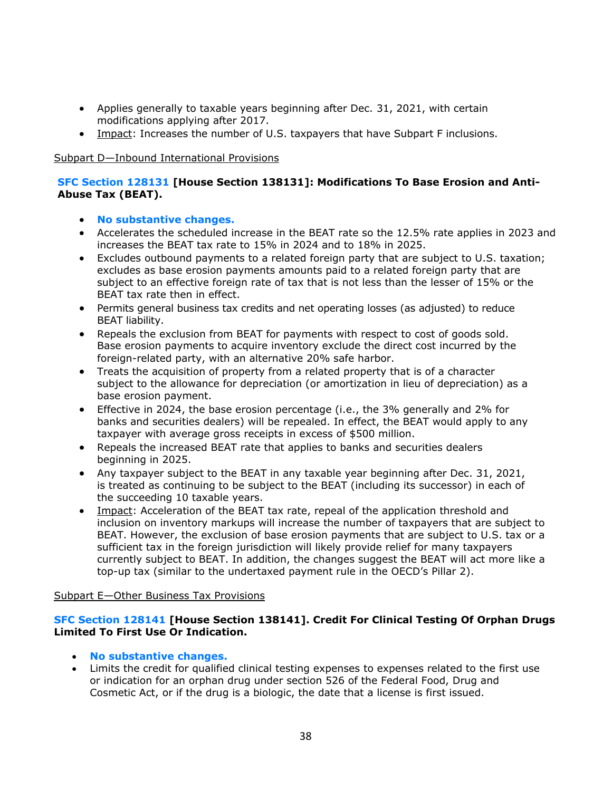- Applies generally to taxable years beginning after Dec. 31, 2021, with certain modifications applying after 2017.
- Impact: Increases the number of U.S. taxpayers that have Subpart F inclusions.

#### Subpart D—Inbound International Provisions

#### **SFC Section 128131 [House Section 138131]: Modifications To Base Erosion and Anti-Abuse Tax (BEAT).**

- **No substantive changes.**
- Accelerates the scheduled increase in the BEAT rate so the 12.5% rate applies in 2023 and increases the BEAT tax rate to 15% in 2024 and to 18% in 2025.
- Excludes outbound payments to a related foreign party that are subject to U.S. taxation; excludes as base erosion payments amounts paid to a related foreign party that are subject to an effective foreign rate of tax that is not less than the lesser of 15% or the BEAT tax rate then in effect.
- Permits general business tax credits and net operating losses (as adjusted) to reduce BEAT liability.
- Repeals the exclusion from BEAT for payments with respect to cost of goods sold. Base erosion payments to acquire inventory exclude the direct cost incurred by the foreign-related party, with an alternative 20% safe harbor.
- Treats the acquisition of property from a related property that is of a character subject to the allowance for depreciation (or amortization in lieu of depreciation) as a base erosion payment.
- Effective in 2024, the base erosion percentage (i.e., the 3% generally and 2% for banks and securities dealers) will be repealed. In effect, the BEAT would apply to any taxpayer with average gross receipts in excess of \$500 million.
- Repeals the increased BEAT rate that applies to banks and securities dealers beginning in 2025.
- Any taxpayer subject to the BEAT in any taxable year beginning after Dec. 31, 2021, is treated as continuing to be subject to the BEAT (including its successor) in each of the succeeding 10 taxable years.
- Impact: Acceleration of the BEAT tax rate, repeal of the application threshold and inclusion on inventory markups will increase the number of taxpayers that are subject to BEAT. However, the exclusion of base erosion payments that are subject to U.S. tax or a sufficient tax in the foreign jurisdiction will likely provide relief for many taxpayers currently subject to BEAT. In addition, the changes suggest the BEAT will act more like a top-up tax (similar to the undertaxed payment rule in the OECD's Pillar 2).

#### Subpart E—Other Business Tax Provisions

#### **SFC Section 128141 [House Section 138141]. Credit For Clinical Testing Of Orphan Drugs Limited To First Use Or Indication.**

- **No substantive changes.**
- Limits the credit for qualified clinical testing expenses to expenses related to the first use or indication for an orphan drug under section 526 of the Federal Food, Drug and Cosmetic Act, or if the drug is a biologic, the date that a license is first issued.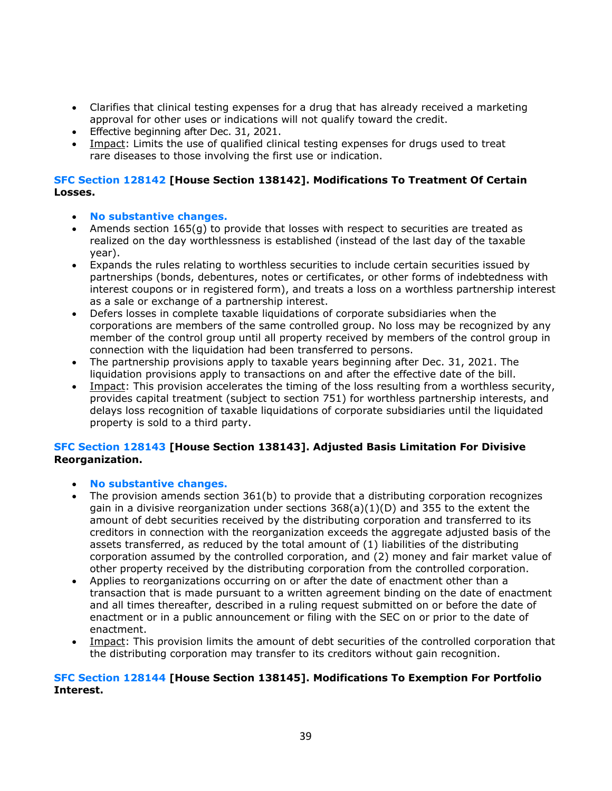- Clarifies that clinical testing expenses for a drug that has already received a marketing approval for other uses or indications will not qualify toward the credit.
- Effective beginning after Dec. 31, 2021.
- Impact: Limits the use of qualified clinical testing expenses for drugs used to treat rare diseases to those involving the first use or indication.

## **SFC Section 128142 [House Section 138142]. Modifications To Treatment Of Certain Losses.**

- **No substantive changes.**
- Amends section 165(g) to provide that losses with respect to securities are treated as realized on the day worthlessness is established (instead of the last day of the taxable year).
- Expands the rules relating to worthless securities to include certain securities issued by partnerships (bonds, debentures, notes or certificates, or other forms of indebtedness with interest coupons or in registered form), and treats a loss on a worthless partnership interest as a sale or exchange of a partnership interest.
- Defers losses in complete taxable liquidations of corporate subsidiaries when the corporations are members of the same controlled group. No loss may be recognized by any member of the control group until all property received by members of the control group in connection with the liquidation had been transferred to persons.
- The partnership provisions apply to taxable years beginning after Dec. 31, 2021. The liquidation provisions apply to transactions on and after the effective date of the bill.
- Impact: This provision accelerates the timing of the loss resulting from a worthless security, provides capital treatment (subject to section 751) for worthless partnership interests, and delays loss recognition of taxable liquidations of corporate subsidiaries until the liquidated property is sold to a third party.

## **SFC Section 128143 [House Section 138143]. Adjusted Basis Limitation For Divisive Reorganization.**

- **No substantive changes.**
- The provision amends section  $361(b)$  to provide that a distributing corporation recognizes gain in a divisive reorganization under sections  $368(a)(1)(D)$  and 355 to the extent the amount of debt securities received by the distributing corporation and transferred to its creditors in connection with the reorganization exceeds the aggregate adjusted basis of the assets transferred, as reduced by the total amount of (1) liabilities of the distributing corporation assumed by the controlled corporation, and (2) money and fair market value of other property received by the distributing corporation from the controlled corporation.
- Applies to reorganizations occurring on or after the date of enactment other than a transaction that is made pursuant to a written agreement binding on the date of enactment and all times thereafter, described in a ruling request submitted on or before the date of enactment or in a public announcement or filing with the SEC on or prior to the date of enactment.
- Impact: This provision limits the amount of debt securities of the controlled corporation that the distributing corporation may transfer to its creditors without gain recognition.

## **SFC Section 128144 [House Section 138145]. Modifications To Exemption For Portfolio Interest.**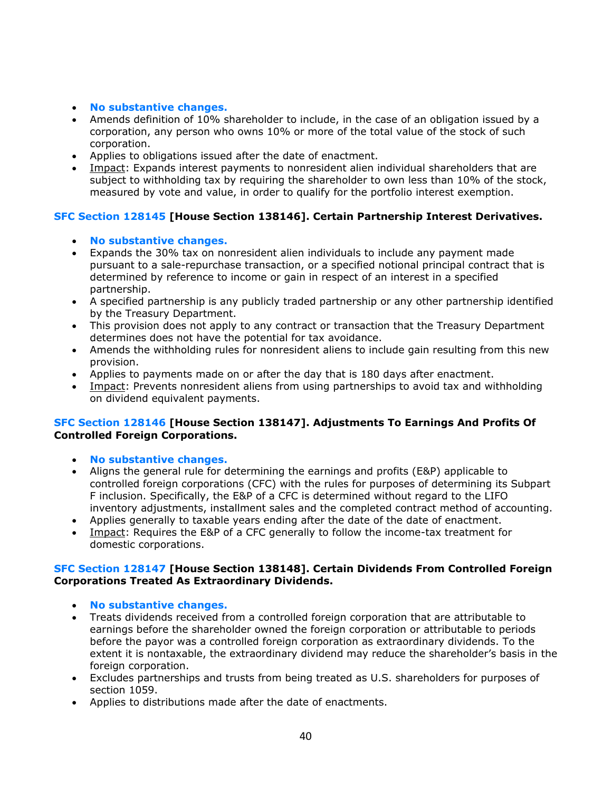- **No substantive changes.**
- Amends definition of 10% shareholder to include, in the case of an obligation issued by a corporation, any person who owns 10% or more of the total value of the stock of such corporation.
- Applies to obligations issued after the date of enactment.
- Impact: Expands interest payments to nonresident alien individual shareholders that are subject to withholding tax by requiring the shareholder to own less than 10% of the stock, measured by vote and value, in order to qualify for the portfolio interest exemption.

## **SFC Section 128145 [House Section 138146]. Certain Partnership Interest Derivatives.**

- **No substantive changes.**
- Expands the 30% tax on nonresident alien individuals to include any payment made pursuant to a sale-repurchase transaction, or a specified notional principal contract that is determined by reference to income or gain in respect of an interest in a specified partnership.
- A specified partnership is any publicly traded partnership or any other partnership identified by the Treasury Department.
- This provision does not apply to any contract or transaction that the Treasury Department determines does not have the potential for tax avoidance.
- Amends the withholding rules for nonresident aliens to include gain resulting from this new provision.
- Applies to payments made on or after the day that is 180 days after enactment.
- Impact: Prevents nonresident aliens from using partnerships to avoid tax and withholding on dividend equivalent payments.

## **SFC Section 128146 [House Section 138147]. Adjustments To Earnings And Profits Of Controlled Foreign Corporations.**

- **No substantive changes.**
- Aligns the general rule for determining the earnings and profits (E&P) applicable to controlled foreign corporations (CFC) with the rules for purposes of determining its Subpart F inclusion. Specifically, the E&P of a CFC is determined without regard to the LIFO inventory adjustments, installment sales and the completed contract method of accounting.
- Applies generally to taxable years ending after the date of the date of enactment.
- Impact: Requires the E&P of a CFC generally to follow the income-tax treatment for domestic corporations.

## **SFC Section 128147 [House Section 138148]. Certain Dividends From Controlled Foreign Corporations Treated As Extraordinary Dividends.**

- **No substantive changes.**
- Treats dividends received from a controlled foreign corporation that are attributable to earnings before the shareholder owned the foreign corporation or attributable to periods before the payor was a controlled foreign corporation as extraordinary dividends. To the extent it is nontaxable, the extraordinary dividend may reduce the shareholder's basis in the foreign corporation.
- Excludes partnerships and trusts from being treated as U.S. shareholders for purposes of section 1059.
- Applies to distributions made after the date of enactments.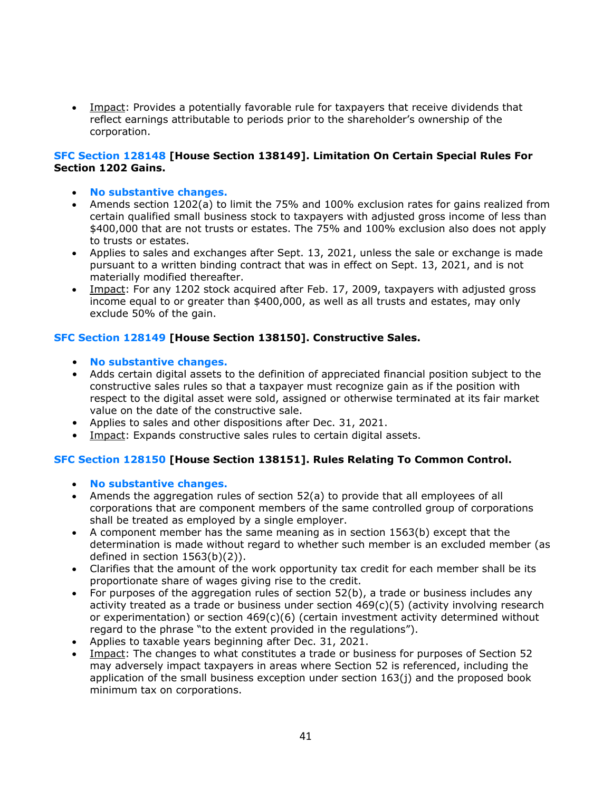• Impact: Provides a potentially favorable rule for taxpayers that receive dividends that reflect earnings attributable to periods prior to the shareholder's ownership of the corporation.

#### **SFC Section 128148 [House Section 138149]. Limitation On Certain Special Rules For Section 1202 Gains.**

- **No substantive changes.**
- Amends section 1202(a) to limit the 75% and 100% exclusion rates for gains realized from certain qualified small business stock to taxpayers with adjusted gross income of less than \$400,000 that are not trusts or estates. The 75% and 100% exclusion also does not apply to trusts or estates.
- Applies to sales and exchanges after Sept. 13, 2021, unless the sale or exchange is made pursuant to a written binding contract that was in effect on Sept. 13, 2021, and is not materially modified thereafter.
- Impact: For any 1202 stock acquired after Feb. 17, 2009, taxpayers with adjusted gross income equal to or greater than \$400,000, as well as all trusts and estates, may only exclude 50% of the gain.

## **SFC Section 128149 [House Section 138150]. Constructive Sales.**

- **No substantive changes.**
- Adds certain digital assets to the definition of appreciated financial position subject to the constructive sales rules so that a taxpayer must recognize gain as if the position with respect to the digital asset were sold, assigned or otherwise terminated at its fair market value on the date of the constructive sale.
- Applies to sales and other dispositions after Dec. 31, 2021.
- Impact: Expands constructive sales rules to certain digital assets.

## **SFC Section 128150 [House Section 138151]. Rules Relating To Common Control.**

- **No substantive changes.**
- Amends the aggregation rules of section 52(a) to provide that all employees of all corporations that are component members of the same controlled group of corporations shall be treated as employed by a single employer.
- A component member has the same meaning as in section 1563(b) except that the determination is made without regard to whether such member is an excluded member (as defined in section 1563(b)(2)).
- Clarifies that the amount of the work opportunity tax credit for each member shall be its proportionate share of wages giving rise to the credit.
- For purposes of the aggregation rules of section 52(b), a trade or business includes any activity treated as a trade or business under section  $469(c)(5)$  (activity involving research or experimentation) or section  $469(c)(6)$  (certain investment activity determined without regard to the phrase "to the extent provided in the regulations").
- Applies to taxable years beginning after Dec. 31, 2021.
- Impact: The changes to what constitutes a trade or business for purposes of Section 52 may adversely impact taxpayers in areas where Section 52 is referenced, including the application of the small business exception under section 163(j) and the proposed book minimum tax on corporations.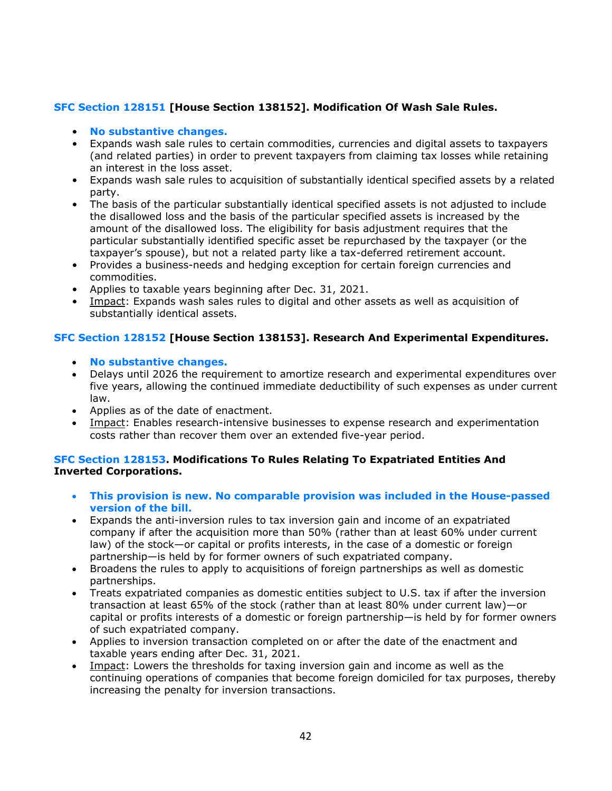## **SFC Section 128151 [House Section 138152]. Modification Of Wash Sale Rules.**

#### • **No substantive changes.**

- Expands wash sale rules to certain commodities, currencies and digital assets to taxpayers (and related parties) in order to prevent taxpayers from claiming tax losses while retaining an interest in the loss asset.
- Expands wash sale rules to acquisition of substantially identical specified assets by a related party.
- The basis of the particular substantially identical specified assets is not adjusted to include the disallowed loss and the basis of the particular specified assets is increased by the amount of the disallowed loss. The eligibility for basis adjustment requires that the particular substantially identified specific asset be repurchased by the taxpayer (or the taxpayer's spouse), but not a related party like a tax-deferred retirement account.
- Provides a business-needs and hedging exception for certain foreign currencies and commodities.
- Applies to taxable years beginning after Dec. 31, 2021.
- Impact: Expands wash sales rules to digital and other assets as well as acquisition of substantially identical assets.

## **SFC Section 128152 [House Section 138153]. Research And Experimental Expenditures.**

- **No substantive changes.**
- Delays until 2026 the requirement to amortize research and experimental expenditures over five years, allowing the continued immediate deductibility of such expenses as under current law.
- Applies as of the date of enactment.
- Impact: Enables research-intensive businesses to expense research and experimentation costs rather than recover them over an extended five-year period.

## **SFC Section 128153. Modifications To Rules Relating To Expatriated Entities And Inverted Corporations.**

- **This provision is new. No comparable provision was included in the House-passed version of the bill.**
- Expands the anti-inversion rules to tax inversion gain and income of an expatriated company if after the acquisition more than 50% (rather than at least 60% under current law) of the stock—or capital or profits interests, in the case of a domestic or foreign partnership—is held by for former owners of such expatriated company.
- Broadens the rules to apply to acquisitions of foreign partnerships as well as domestic partnerships.
- Treats expatriated companies as domestic entities subject to U.S. tax if after the inversion transaction at least 65% of the stock (rather than at least 80% under current law)—or capital or profits interests of a domestic or foreign partnership—is held by for former owners of such expatriated company.
- Applies to inversion transaction completed on or after the date of the enactment and taxable years ending after Dec. 31, 2021.
- Impact: Lowers the thresholds for taxing inversion gain and income as well as the continuing operations of companies that become foreign domiciled for tax purposes, thereby increasing the penalty for inversion transactions.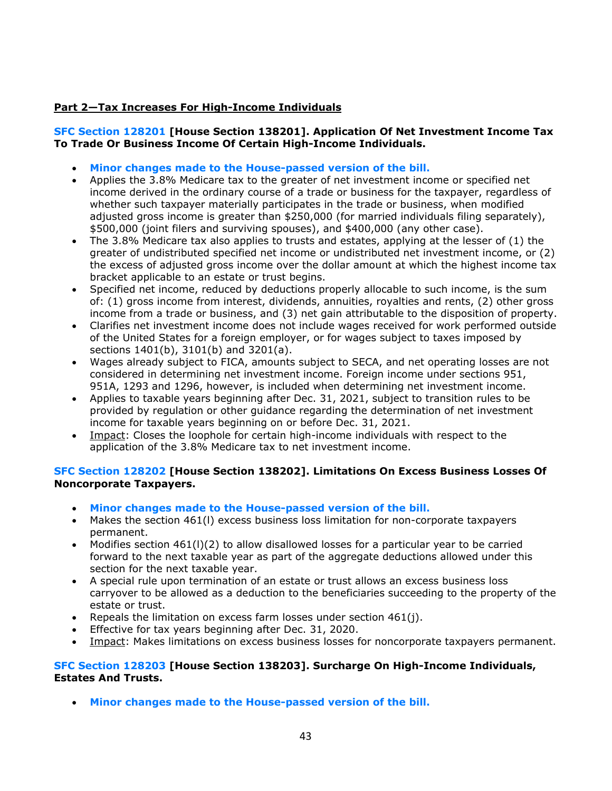## **Part 2—Tax Increases For High-Income Individuals**

## **SFC Section 128201 [House Section 138201]. Application Of Net Investment Income Tax To Trade Or Business Income Of Certain High-Income Individuals.**

- **Minor changes made to the House-passed version of the bill.**
- Applies the 3.8% Medicare tax to the greater of net investment income or specified net income derived in the ordinary course of a trade or business for the taxpayer, regardless of whether such taxpayer materially participates in the trade or business, when modified adjusted gross income is greater than \$250,000 (for married individuals filing separately), \$500,000 (joint filers and surviving spouses), and \$400,000 (any other case).
- The 3.8% Medicare tax also applies to trusts and estates, applying at the lesser of (1) the greater of undistributed specified net income or undistributed net investment income, or (2) the excess of adjusted gross income over the dollar amount at which the highest income tax bracket applicable to an estate or trust begins.
- Specified net income, reduced by deductions properly allocable to such income, is the sum of: (1) gross income from interest, dividends, annuities, royalties and rents, (2) other gross income from a trade or business, and (3) net gain attributable to the disposition of property.
- Clarifies net investment income does not include wages received for work performed outside of the United States for a foreign employer, or for wages subject to taxes imposed by sections 1401(b), 3101(b) and 3201(a).
- Wages already subject to FICA, amounts subject to SECA, and net operating losses are not considered in determining net investment income. Foreign income under sections 951, 951A, 1293 and 1296, however, is included when determining net investment income.
- Applies to taxable years beginning after Dec. 31, 2021, subject to transition rules to be provided by regulation or other guidance regarding the determination of net investment income for taxable years beginning on or before Dec. 31, 2021.
- Impact: Closes the loophole for certain high-income individuals with respect to the application of the 3.8% Medicare tax to net investment income.

## **SFC Section 128202 [House Section 138202]. Limitations On Excess Business Losses Of Noncorporate Taxpayers.**

- **Minor changes made to the House-passed version of the bill.**
- Makes the section 461(l) excess business loss limitation for non-corporate taxpayers permanent.
- Modifies section 461(l)(2) to allow disallowed losses for a particular year to be carried forward to the next taxable year as part of the aggregate deductions allowed under this section for the next taxable year.
- A special rule upon termination of an estate or trust allows an excess business loss carryover to be allowed as a deduction to the beneficiaries succeeding to the property of the estate or trust.
- Repeals the limitation on excess farm losses under section  $461(i)$ .
- Effective for tax years beginning after Dec. 31, 2020.
- Impact: Makes limitations on excess business losses for noncorporate taxpayers permanent.

#### **SFC Section 128203 [House Section 138203]. Surcharge On High-Income Individuals, Estates And Trusts.**

• **Minor changes made to the House-passed version of the bill.**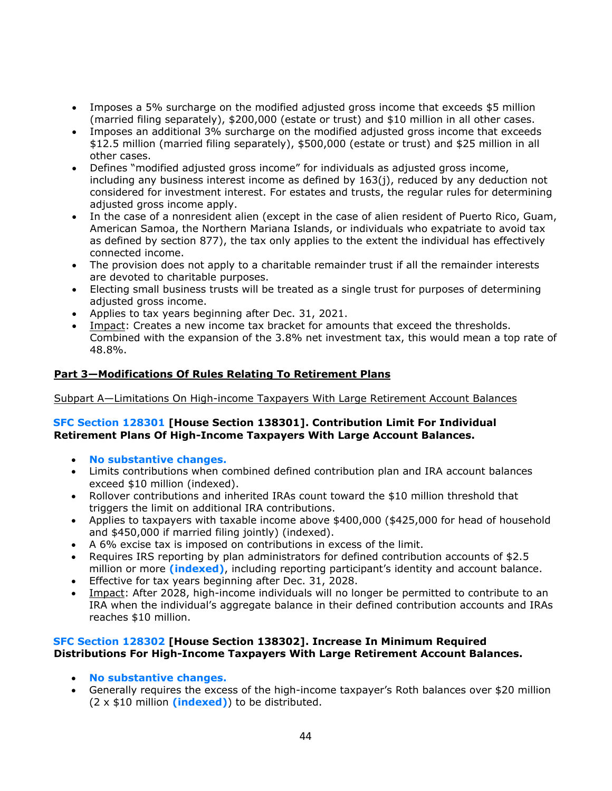- Imposes a 5% surcharge on the modified adjusted gross income that exceeds \$5 million (married filing separately), \$200,000 (estate or trust) and \$10 million in all other cases.
- Imposes an additional 3% surcharge on the modified adjusted gross income that exceeds \$12.5 million (married filing separately), \$500,000 (estate or trust) and \$25 million in all other cases.
- Defines "modified adjusted gross income" for individuals as adjusted gross income, including any business interest income as defined by  $163(j)$ , reduced by any deduction not considered for investment interest. For estates and trusts, the regular rules for determining adjusted gross income apply.
- In the case of a nonresident alien (except in the case of alien resident of Puerto Rico, Guam, American Samoa, the Northern Mariana Islands, or individuals who expatriate to avoid tax as defined by section 877), the tax only applies to the extent the individual has effectively connected income.
- The provision does not apply to a charitable remainder trust if all the remainder interests are devoted to charitable purposes.
- Electing small business trusts will be treated as a single trust for purposes of determining adjusted gross income.
- Applies to tax years beginning after Dec. 31, 2021.
- Impact: Creates a new income tax bracket for amounts that exceed the thresholds. Combined with the expansion of the 3.8% net investment tax, this would mean a top rate of 48.8%.

## **Part 3—Modifications Of Rules Relating To Retirement Plans**

Subpart A—Limitations On High-income Taxpayers With Large Retirement Account Balances

#### **SFC Section 128301 [House Section 138301]. Contribution Limit For Individual Retirement Plans Of High-Income Taxpayers With Large Account Balances.**

- **No substantive changes.**
- Limits contributions when combined defined contribution plan and IRA account balances exceed \$10 million (indexed).
- Rollover contributions and inherited IRAs count toward the \$10 million threshold that triggers the limit on additional IRA contributions.
- Applies to taxpayers with taxable income above \$400,000 (\$425,000 for head of household and \$450,000 if married filing jointly) (indexed).
- A 6% excise tax is imposed on contributions in excess of the limit.
- Requires IRS reporting by plan administrators for defined contribution accounts of \$2.5 million or more **(indexed)**, including reporting participant's identity and account balance.
- Effective for tax years beginning after Dec. 31, 2028.
- Impact: After 2028, high-income individuals will no longer be permitted to contribute to an IRA when the individual's aggregate balance in their defined contribution accounts and IRAs reaches \$10 million.

## **SFC Section 128302 [House Section 138302]. Increase In Minimum Required Distributions For High-Income Taxpayers With Large Retirement Account Balances.**

- **No substantive changes.**
- Generally requires the excess of the high-income taxpayer's Roth balances over \$20 million (2 x \$10 million **(indexed)**) to be distributed.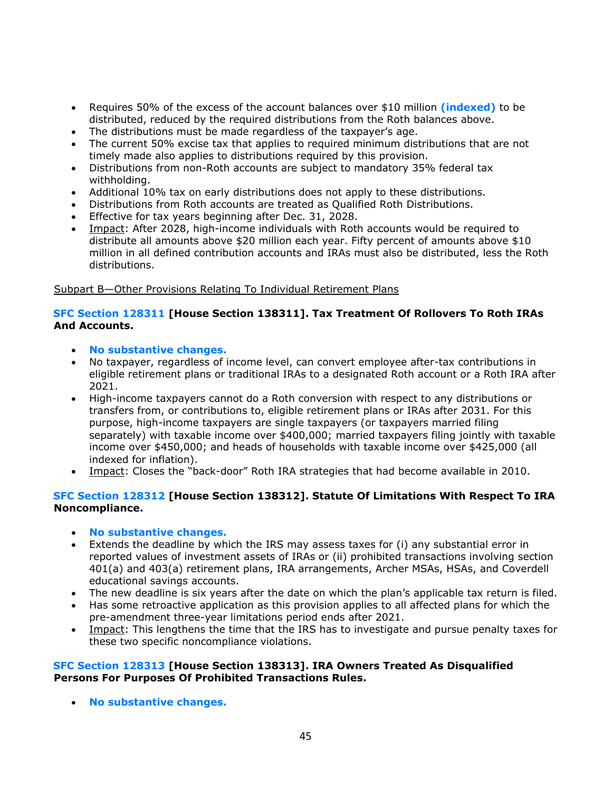- Requires 50% of the excess of the account balances over \$10 million **(indexed)** to be distributed, reduced by the required distributions from the Roth balances above.
- The distributions must be made regardless of the taxpayer's age.
- The current 50% excise tax that applies to required minimum distributions that are not timely made also applies to distributions required by this provision.
- Distributions from non-Roth accounts are subject to mandatory 35% federal tax withholding.
- Additional 10% tax on early distributions does not apply to these distributions.
- Distributions from Roth accounts are treated as Qualified Roth Distributions.
- Effective for tax years beginning after Dec. 31, 2028.
- Impact: After 2028, high-income individuals with Roth accounts would be required to distribute all amounts above \$20 million each year. Fifty percent of amounts above \$10 million in all defined contribution accounts and IRAs must also be distributed, less the Roth distributions.

#### Subpart B—Other Provisions Relating To Individual Retirement Plans

#### **SFC Section 128311 [House Section 138311]. Tax Treatment Of Rollovers To Roth IRAs And Accounts.**

- **No substantive changes.**
- No taxpayer, regardless of income level, can convert employee after-tax contributions in eligible retirement plans or traditional IRAs to a designated Roth account or a Roth IRA after 2021.
- High-income taxpayers cannot do a Roth conversion with respect to any distributions or transfers from, or contributions to, eligible retirement plans or IRAs after 2031. For this purpose, high-income taxpayers are single taxpayers (or taxpayers married filing separately) with taxable income over \$400,000; married taxpayers filing jointly with taxable income over \$450,000; and heads of households with taxable income over \$425,000 (all indexed for inflation).
- Impact: Closes the "back-door" Roth IRA strategies that had become available in 2010.

## **SFC Section 128312 [House Section 138312]. Statute Of Limitations With Respect To IRA Noncompliance.**

#### • **No substantive changes.**

- Extends the deadline by which the IRS may assess taxes for (i) any substantial error in reported values of investment assets of IRAs or (ii) prohibited transactions involving section 401(a) and 403(a) retirement plans, IRA arrangements, Archer MSAs, HSAs, and Coverdell educational savings accounts.
- The new deadline is six years after the date on which the plan's applicable tax return is filed.
- Has some retroactive application as this provision applies to all affected plans for which the pre-amendment three-year limitations period ends after 2021.
- Impact: This lengthens the time that the IRS has to investigate and pursue penalty taxes for these two specific noncompliance violations.

#### **SFC Section 128313 [House Section 138313]. IRA Owners Treated As Disqualified Persons For Purposes Of Prohibited Transactions Rules.**

• **No substantive changes.**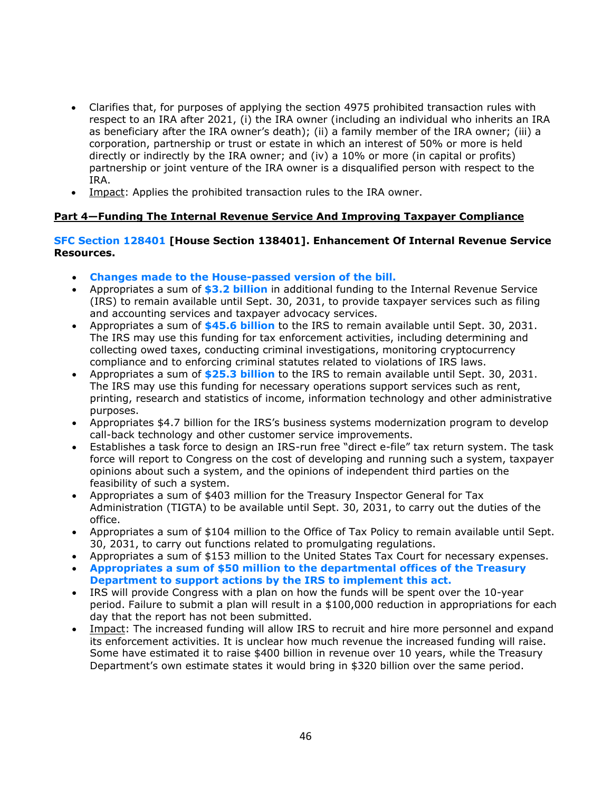- Clarifies that, for purposes of applying the section 4975 prohibited transaction rules with respect to an IRA after 2021, (i) the IRA owner (including an individual who inherits an IRA as beneficiary after the IRA owner's death); (ii) a family member of the IRA owner; (iii) a corporation, partnership or trust or estate in which an interest of 50% or more is held directly or indirectly by the IRA owner; and (iv) a 10% or more (in capital or profits) partnership or joint venture of the IRA owner is a disqualified person with respect to the IRA.
- Impact: Applies the prohibited transaction rules to the IRA owner.

## **Part 4—Funding The Internal Revenue Service And Improving Taxpayer Compliance**

#### **SFC Section 128401 [House Section 138401]. Enhancement Of Internal Revenue Service Resources.**

- **Changes made to the House-passed version of the bill.**
- Appropriates a sum of **\$3.2 billion** in additional funding to the Internal Revenue Service (IRS) to remain available until Sept. 30, 2031, to provide taxpayer services such as filing and accounting services and taxpayer advocacy services.
- Appropriates a sum of **\$45.6 billion** to the IRS to remain available until Sept. 30, 2031. The IRS may use this funding for tax enforcement activities, including determining and collecting owed taxes, conducting criminal investigations, monitoring cryptocurrency compliance and to enforcing criminal statutes related to violations of IRS laws.
- Appropriates a sum of **\$25.3 billion** to the IRS to remain available until Sept. 30, 2031. The IRS may use this funding for necessary operations support services such as rent, printing, research and statistics of income, information technology and other administrative purposes.
- Appropriates \$4.7 billion for the IRS's business systems modernization program to develop call-back technology and other customer service improvements.
- Establishes a task force to design an IRS-run free "direct e-file" tax return system. The task force will report to Congress on the cost of developing and running such a system, taxpayer opinions about such a system, and the opinions of independent third parties on the feasibility of such a system.
- Appropriates a sum of \$403 million for the Treasury Inspector General for Tax Administration (TIGTA) to be available until Sept. 30, 2031, to carry out the duties of the office.
- Appropriates a sum of \$104 million to the Office of Tax Policy to remain available until Sept. 30, 2031, to carry out functions related to promulgating regulations.
- Appropriates a sum of \$153 million to the United States Tax Court for necessary expenses.
- **Appropriates a sum of \$50 million to the departmental offices of the Treasury Department to support actions by the IRS to implement this act.**
- IRS will provide Congress with a plan on how the funds will be spent over the 10-year period. Failure to submit a plan will result in a \$100,000 reduction in appropriations for each day that the report has not been submitted.
- Impact: The increased funding will allow IRS to recruit and hire more personnel and expand its enforcement activities. It is unclear how much revenue the increased funding will raise. Some have estimated it to raise \$400 billion in revenue over 10 years, while the Treasury Department's own estimate states it would bring in \$320 billion over the same period.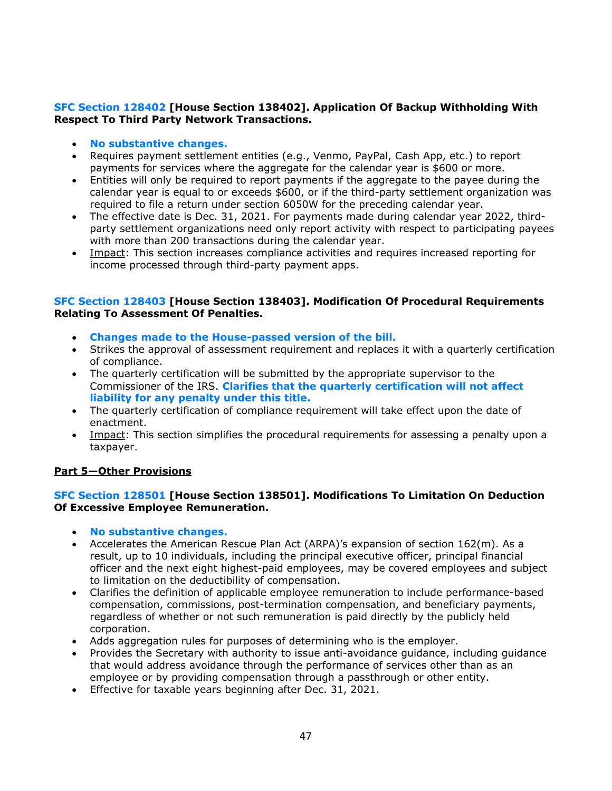## **SFC Section 128402 [House Section 138402]. Application Of Backup Withholding With Respect To Third Party Network Transactions.**

- **No substantive changes.**
- Requires payment settlement entities (e.g., Venmo, PayPal, Cash App, etc.) to report payments for services where the aggregate for the calendar year is \$600 or more.
- Entities will only be required to report payments if the aggregate to the payee during the calendar year is equal to or exceeds \$600, or if the third-party settlement organization was required to file a return under section 6050W for the preceding calendar year.
- The effective date is Dec. 31, 2021. For payments made during calendar year 2022, thirdparty settlement organizations need only report activity with respect to participating payees with more than 200 transactions during the calendar year.
- Impact: This section increases compliance activities and requires increased reporting for income processed through third-party payment apps.

#### **SFC Section 128403 [House Section 138403]. Modification Of Procedural Requirements Relating To Assessment Of Penalties.**

- **Changes made to the House-passed version of the bill.**
- Strikes the approval of assessment requirement and replaces it with a quarterly certification of compliance.
- The quarterly certification will be submitted by the appropriate supervisor to the Commissioner of the IRS. **Clarifies that the quarterly certification will not affect liability for any penalty under this title.**
- The quarterly certification of compliance requirement will take effect upon the date of enactment.
- Impact: This section simplifies the procedural requirements for assessing a penalty upon a taxpayer.

#### **Part 5—Other Provisions**

#### **SFC Section 128501 [House Section 138501]. Modifications To Limitation On Deduction Of Excessive Employee Remuneration.**

- **No substantive changes.**
- Accelerates the American Rescue Plan Act (ARPA)'s expansion of section 162(m). As a result, up to 10 individuals, including the principal executive officer, principal financial officer and the next eight highest-paid employees, may be covered employees and subject to limitation on the deductibility of compensation.
- Clarifies the definition of applicable employee remuneration to include performance-based compensation, commissions, post-termination compensation, and beneficiary payments, regardless of whether or not such remuneration is paid directly by the publicly held corporation.
- Adds aggregation rules for purposes of determining who is the employer.
- Provides the Secretary with authority to issue anti-avoidance guidance, including guidance that would address avoidance through the performance of services other than as an employee or by providing compensation through a passthrough or other entity.
- Effective for taxable years beginning after Dec. 31, 2021.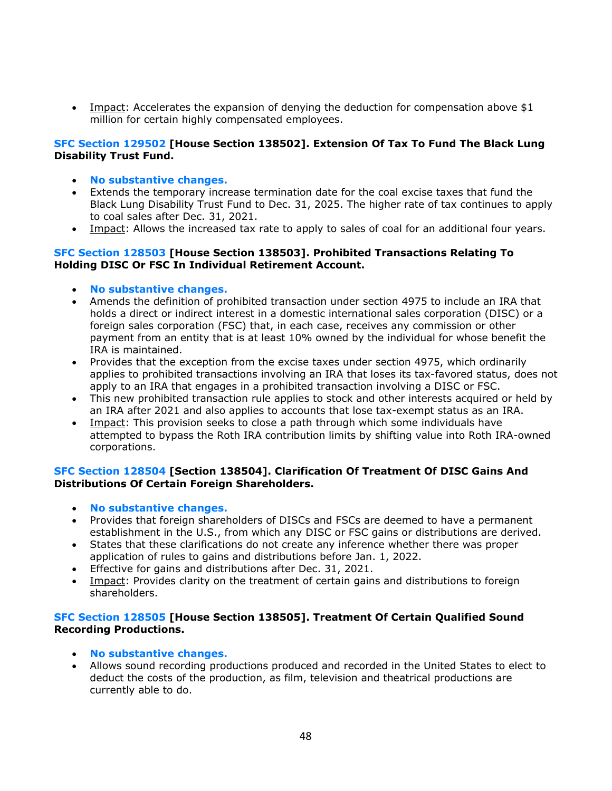• Impact: Accelerates the expansion of denying the deduction for compensation above \$1 million for certain highly compensated employees.

#### **SFC Section 129502 [House Section 138502]. Extension Of Tax To Fund The Black Lung Disability Trust Fund.**

- **No substantive changes.**
- Extends the temporary increase termination date for the coal excise taxes that fund the Black Lung Disability Trust Fund to Dec. 31, 2025. The higher rate of tax continues to apply to coal sales after Dec. 31, 2021.
- Impact: Allows the increased tax rate to apply to sales of coal for an additional four years.

#### **SFC Section 128503 [House Section 138503]. Prohibited Transactions Relating To Holding DISC Or FSC In Individual Retirement Account.**

- **No substantive changes.**
- Amends the definition of prohibited transaction under section 4975 to include an IRA that holds a direct or indirect interest in a domestic international sales corporation (DISC) or a foreign sales corporation (FSC) that, in each case, receives any commission or other payment from an entity that is at least 10% owned by the individual for whose benefit the IRA is maintained.
- Provides that the exception from the excise taxes under section 4975, which ordinarily applies to prohibited transactions involving an IRA that loses its tax-favored status, does not apply to an IRA that engages in a prohibited transaction involving a DISC or FSC.
- This new prohibited transaction rule applies to stock and other interests acquired or held by an IRA after 2021 and also applies to accounts that lose tax-exempt status as an IRA.
- Impact: This provision seeks to close a path through which some individuals have attempted to bypass the Roth IRA contribution limits by shifting value into Roth IRA-owned corporations.

## **SFC Section 128504 [Section 138504]. Clarification Of Treatment Of DISC Gains And Distributions Of Certain Foreign Shareholders.**

- **No substantive changes.**
- Provides that foreign shareholders of DISCs and FSCs are deemed to have a permanent establishment in the U.S., from which any DISC or FSC gains or distributions are derived.
- States that these clarifications do not create any inference whether there was proper application of rules to gains and distributions before Jan. 1, 2022.
- Effective for gains and distributions after Dec. 31, 2021.
- Impact: Provides clarity on the treatment of certain gains and distributions to foreign shareholders.

## **SFC Section 128505 [House Section 138505]. Treatment Of Certain Qualified Sound Recording Productions.**

- **No substantive changes.**
- Allows sound recording productions produced and recorded in the United States to elect to deduct the costs of the production, as film, television and theatrical productions are currently able to do.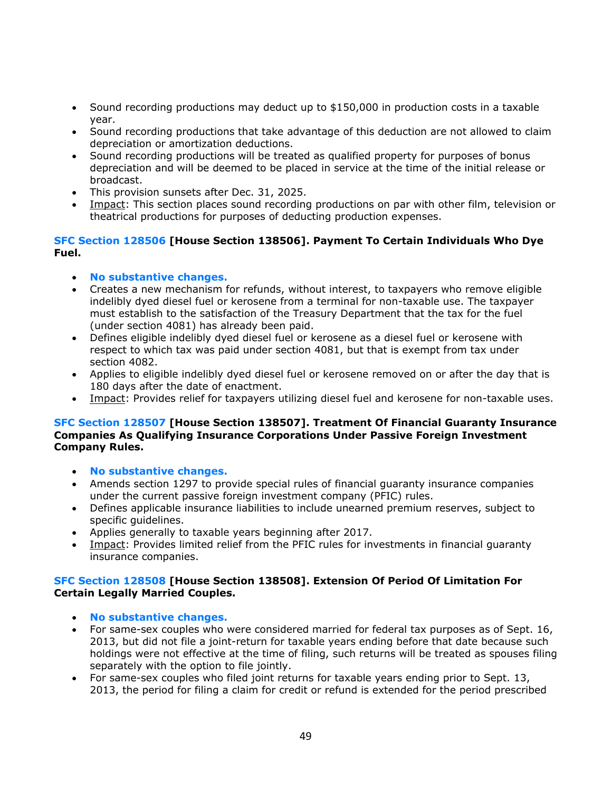- Sound recording productions may deduct up to \$150,000 in production costs in a taxable year.
- Sound recording productions that take advantage of this deduction are not allowed to claim depreciation or amortization deductions.
- Sound recording productions will be treated as qualified property for purposes of bonus depreciation and will be deemed to be placed in service at the time of the initial release or broadcast.
- This provision sunsets after Dec. 31, 2025.
- Impact: This section places sound recording productions on par with other film, television or theatrical productions for purposes of deducting production expenses.

## **SFC Section 128506 [House Section 138506]. Payment To Certain Individuals Who Dye Fuel.**

- **No substantive changes.**
- Creates a new mechanism for refunds, without interest, to taxpayers who remove eligible indelibly dyed diesel fuel or kerosene from a terminal for non-taxable use. The taxpayer must establish to the satisfaction of the Treasury Department that the tax for the fuel (under section 4081) has already been paid.
- Defines eligible indelibly dyed diesel fuel or kerosene as a diesel fuel or kerosene with respect to which tax was paid under section 4081, but that is exempt from tax under section 4082.
- Applies to eligible indelibly dyed diesel fuel or kerosene removed on or after the day that is 180 days after the date of enactment.
- Impact: Provides relief for taxpayers utilizing diesel fuel and kerosene for non-taxable uses.

#### **SFC Section 128507 [House Section 138507]. Treatment Of Financial Guaranty Insurance Companies As Qualifying Insurance Corporations Under Passive Foreign Investment Company Rules.**

- **No substantive changes.**
- Amends section 1297 to provide special rules of financial guaranty insurance companies under the current passive foreign investment company (PFIC) rules.
- Defines applicable insurance liabilities to include unearned premium reserves, subject to specific guidelines.
- Applies generally to taxable years beginning after 2017.
- Impact: Provides limited relief from the PFIC rules for investments in financial guaranty insurance companies.

#### **SFC Section 128508 [House Section 138508]. Extension Of Period Of Limitation For Certain Legally Married Couples.**

- **No substantive changes.**
- For same-sex couples who were considered married for federal tax purposes as of Sept. 16, 2013, but did not file a joint-return for taxable years ending before that date because such holdings were not effective at the time of filing, such returns will be treated as spouses filing separately with the option to file jointly.
- For same-sex couples who filed joint returns for taxable years ending prior to Sept. 13, 2013, the period for filing a claim for credit or refund is extended for the period prescribed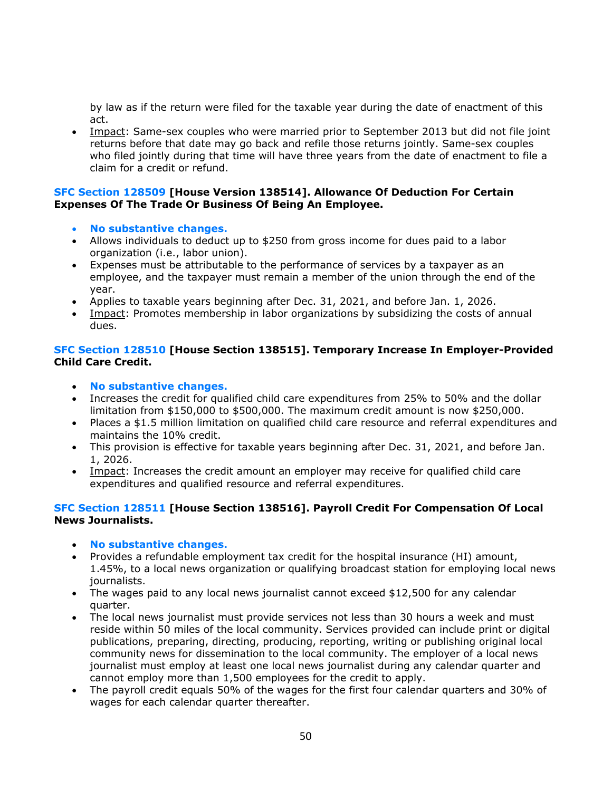by law as if the return were filed for the taxable year during the date of enactment of this act.

• Impact: Same-sex couples who were married prior to September 2013 but did not file joint returns before that date may go back and refile those returns jointly. Same-sex couples who filed jointly during that time will have three years from the date of enactment to file a claim for a credit or refund.

#### **SFC Section 128509 [House Version 138514]. Allowance Of Deduction For Certain Expenses Of The Trade Or Business Of Being An Employee.**

- **No substantive changes.**
- Allows individuals to deduct up to \$250 from gross income for dues paid to a labor organization (i.e., labor union).
- Expenses must be attributable to the performance of services by a taxpayer as an employee, and the taxpayer must remain a member of the union through the end of the year.
- Applies to taxable years beginning after Dec. 31, 2021, and before Jan. 1, 2026.
- Impact: Promotes membership in labor organizations by subsidizing the costs of annual dues.

## **SFC Section 128510 [House Section 138515]. Temporary Increase In Employer-Provided Child Care Credit.**

- **No substantive changes.**
- Increases the credit for qualified child care expenditures from 25% to 50% and the dollar limitation from \$150,000 to \$500,000. The maximum credit amount is now \$250,000.
- Places a \$1.5 million limitation on qualified child care resource and referral expenditures and maintains the 10% credit.
- This provision is effective for taxable years beginning after Dec. 31, 2021, and before Jan. 1, 2026.
- Impact: Increases the credit amount an employer may receive for qualified child care expenditures and qualified resource and referral expenditures.

## **SFC Section 128511 [House Section 138516]. Payroll Credit For Compensation Of Local News Journalists.**

- **No substantive changes.**
- Provides a refundable employment tax credit for the hospital insurance (HI) amount, 1.45%, to a local news organization or qualifying broadcast station for employing local news journalists.
- The wages paid to any local news journalist cannot exceed \$12,500 for any calendar quarter.
- The local news journalist must provide services not less than 30 hours a week and must reside within 50 miles of the local community. Services provided can include print or digital publications, preparing, directing, producing, reporting, writing or publishing original local community news for dissemination to the local community. The employer of a local news journalist must employ at least one local news journalist during any calendar quarter and cannot employ more than 1,500 employees for the credit to apply.
- The payroll credit equals 50% of the wages for the first four calendar quarters and 30% of wages for each calendar quarter thereafter.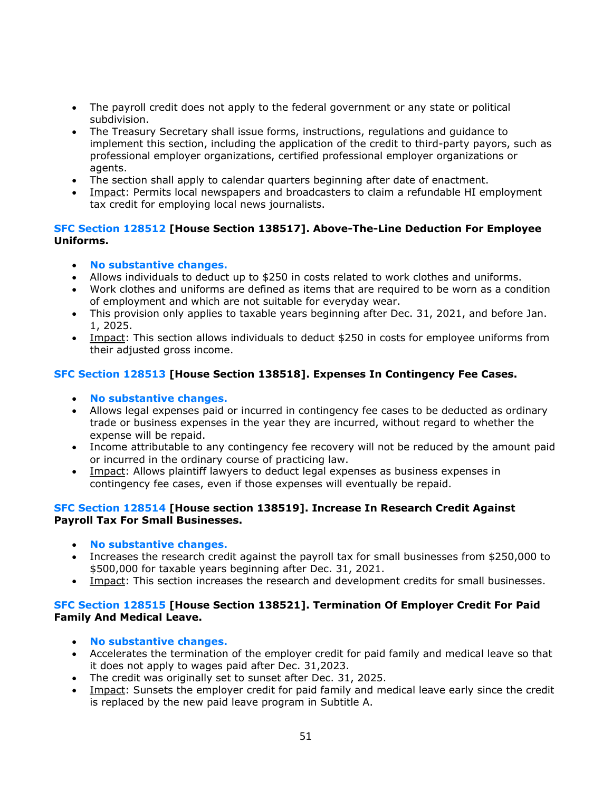- The payroll credit does not apply to the federal government or any state or political subdivision.
- The Treasury Secretary shall issue forms, instructions, regulations and guidance to implement this section, including the application of the credit to third-party payors, such as professional employer organizations, certified professional employer organizations or agents.
- The section shall apply to calendar quarters beginning after date of enactment.
- Impact: Permits local newspapers and broadcasters to claim a refundable HI employment tax credit for employing local news journalists.

## **SFC Section 128512 [House Section 138517]. Above-The-Line Deduction For Employee Uniforms.**

- **No substantive changes.**
- Allows individuals to deduct up to \$250 in costs related to work clothes and uniforms.
- Work clothes and uniforms are defined as items that are required to be worn as a condition of employment and which are not suitable for everyday wear.
- This provision only applies to taxable years beginning after Dec. 31, 2021, and before Jan. 1, 2025.
- Impact: This section allows individuals to deduct \$250 in costs for employee uniforms from their adjusted gross income.

## **SFC Section 128513 [House Section 138518]. Expenses In Contingency Fee Cases.**

- **No substantive changes.**
- Allows legal expenses paid or incurred in contingency fee cases to be deducted as ordinary trade or business expenses in the year they are incurred, without regard to whether the expense will be repaid.
- Income attributable to any contingency fee recovery will not be reduced by the amount paid or incurred in the ordinary course of practicing law.
- Impact: Allows plaintiff lawyers to deduct legal expenses as business expenses in contingency fee cases, even if those expenses will eventually be repaid.

## **SFC Section 128514 [House section 138519]. Increase In Research Credit Against Payroll Tax For Small Businesses.**

- **No substantive changes.**
- Increases the research credit against the payroll tax for small businesses from \$250,000 to \$500,000 for taxable years beginning after Dec. 31, 2021.
- Impact: This section increases the research and development credits for small businesses.

## **SFC Section 128515 [House Section 138521]. Termination Of Employer Credit For Paid Family And Medical Leave.**

- **No substantive changes.**
- Accelerates the termination of the employer credit for paid family and medical leave so that it does not apply to wages paid after Dec. 31,2023.
- The credit was originally set to sunset after Dec. 31, 2025.
- Impact: Sunsets the employer credit for paid family and medical leave early since the credit is replaced by the new paid leave program in Subtitle A.